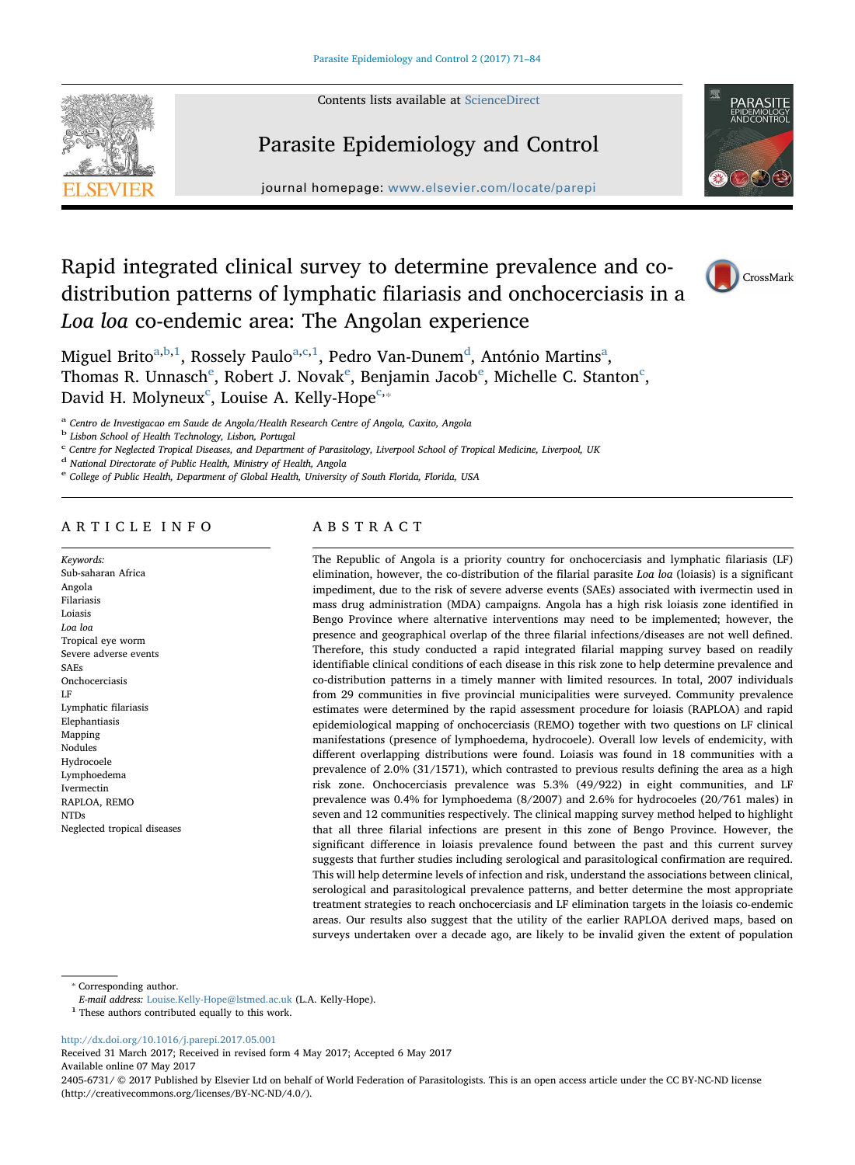Contents lists available at [ScienceDirect](http://www.sciencedirect.com/science/journal/24056731)



# Parasite Epidemiology and Control

journal homepage: [www.elsevier.com/locate/parepi](http://www.elsevier.com/locate/parepi)

# Rapid integrated clinical survey to determine prevalence and codistribution patterns of lymphatic filariasis and onchocerciasis in a Loa loa co-endemic area: The Angolan experience



Miguel Brito $\mathrm{^{a,b,1}}$  $\mathrm{^{a,b,1}}$  $\mathrm{^{a,b,1}}$  $\mathrm{^{a,b,1}}$  $\mathrm{^{a,b,1}}$ , Rossely P[a](#page-0-0)ulo $\mathrm{^{a,c,1}}$  $\mathrm{^{a,c,1}}$  $\mathrm{^{a,c,1}}$ , Pe[d](#page-0-4)ro Van-Dunem $\mathrm{^{d}}$ , António Martins $\mathrm{^{a}},$ Thomas R. Unnasch<sup>[e](#page-0-5)</sup>, Robert J. Novak<sup>e</sup>, Benjamin Ja[c](#page-0-3)ob<sup>e</sup>, Michelle C. Stanton<sup>c</sup>, David H. Molyneux<sup>[c](#page-0-3)</sup>, Louise A. Kelly-Hope<sup>c,\*</sup>

<span id="page-0-0"></span><sup>a</sup> Centro de Investigacao em Saude de Angola/Health Research Centre of Angola, Caxito, Angola

<span id="page-0-1"></span><sup>b</sup> Lisbon School of Health Technology, Lisbon, Portugal

<span id="page-0-4"></span><sup>d</sup> National Directorate of Public Health, Ministry of Health, Angola

<span id="page-0-5"></span><sup>e</sup> College of Public Health, Department of Global Health, University of South Florida, Florida, USA

## ARTICLE INFO

Keywords: Sub-saharan Africa Angola Filariasis Loiasis Loa loa Tropical eye worm Severe adverse events SAEs Onchocerciasis LF Lymphatic filariasis Elephantiasis Mapping Nodules Hydrocoele Lymphoedema Ivermectin RAPLOA, REMO NTDs Neglected tropical diseases

### ABSTRACT

The Republic of Angola is a priority country for onchocerciasis and lymphatic filariasis (LF) elimination, however, the co-distribution of the filarial parasite Loa loa (loiasis) is a significant impediment, due to the risk of severe adverse events (SAEs) associated with ivermectin used in mass drug administration (MDA) campaigns. Angola has a high risk loiasis zone identified in Bengo Province where alternative interventions may need to be implemented; however, the presence and geographical overlap of the three filarial infections/diseases are not well defined. Therefore, this study conducted a rapid integrated filarial mapping survey based on readily identifiable clinical conditions of each disease in this risk zone to help determine prevalence and co-distribution patterns in a timely manner with limited resources. In total, 2007 individuals from 29 communities in five provincial municipalities were surveyed. Community prevalence estimates were determined by the rapid assessment procedure for loiasis (RAPLOA) and rapid epidemiological mapping of onchocerciasis (REMO) together with two questions on LF clinical manifestations (presence of lymphoedema, hydrocoele). Overall low levels of endemicity, with different overlapping distributions were found. Loiasis was found in 18 communities with a prevalence of 2.0% (31/1571), which contrasted to previous results defining the area as a high risk zone. Onchocerciasis prevalence was 5.3% (49/922) in eight communities, and LF prevalence was 0.4% for lymphoedema (8/2007) and 2.6% for hydrocoeles (20/761 males) in seven and 12 communities respectively. The clinical mapping survey method helped to highlight that all three filarial infections are present in this zone of Bengo Province. However, the significant difference in loiasis prevalence found between the past and this current survey suggests that further studies including serological and parasitological confirmation are required. This will help determine levels of infection and risk, understand the associations between clinical, serological and parasitological prevalence patterns, and better determine the most appropriate treatment strategies to reach onchocerciasis and LF elimination targets in the loiasis co-endemic areas. Our results also suggest that the utility of the earlier RAPLOA derived maps, based on surveys undertaken over a decade ago, are likely to be invalid given the extent of population

<span id="page-0-6"></span>⁎ Corresponding author.

E-mail address: [Louise.Kelly-Hope@lstmed.ac.uk](mailto:Louise.Kelly-Hope@lstmed.ac.uk) (L.A. Kelly-Hope).

<span id="page-0-2"></span> $^{\rm 1}$  These authors contributed equally to this work.

<http://dx.doi.org/10.1016/j.parepi.2017.05.001>

Received 31 March 2017; Received in revised form 4 May 2017; Accepted 6 May 2017 Available online 07 May 2017

2405-6731/ © 2017 Published by Elsevier Ltd on behalf of World Federation of Parasitologists. This is an open access article under the CC BY-NC-ND license (http://creativecommons.org/licenses/BY-NC-ND/4.0/).

<span id="page-0-3"></span><sup>c</sup> Centre for Neglected Tropical Diseases, and Department of Parasitology, Liverpool School of Tropical Medicine, Liverpool, UK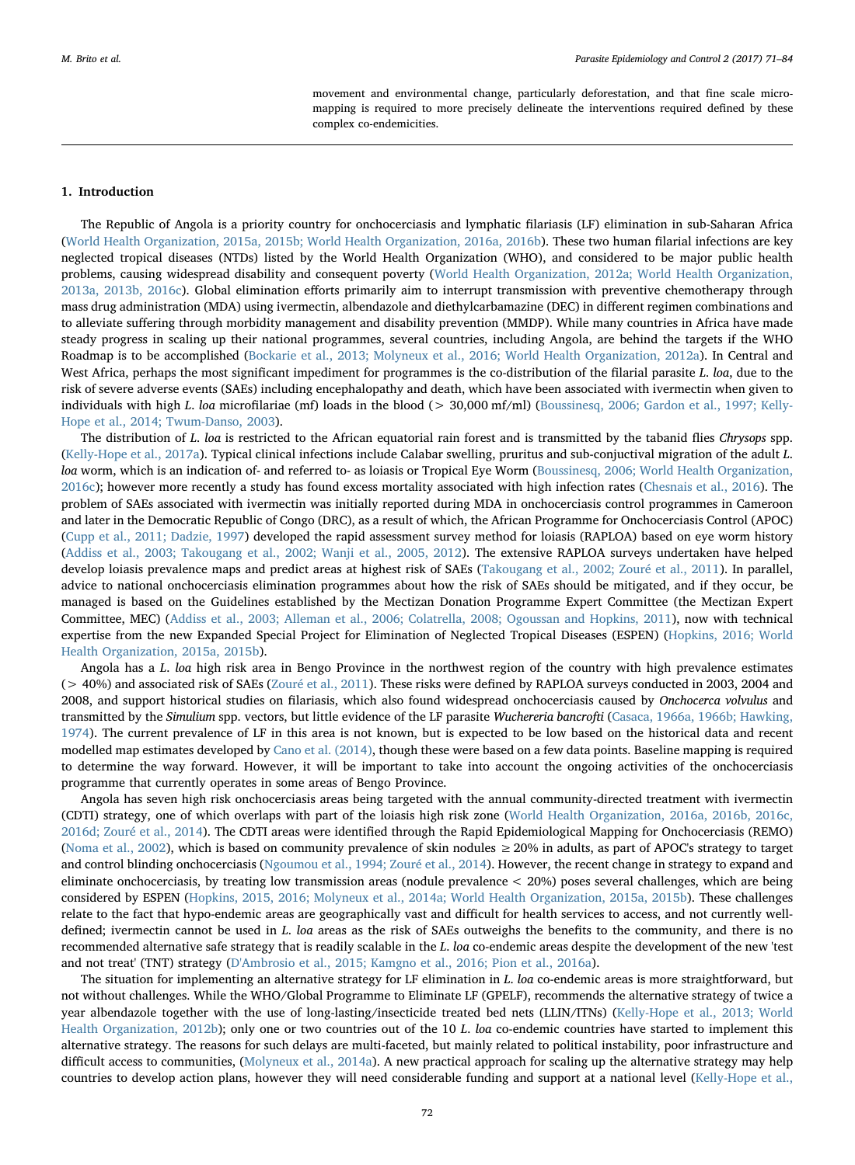movement and environmental change, particularly deforestation, and that fine scale micromapping is required to more precisely delineate the interventions required defined by these complex co-endemicities.

#### 1. Introduction

The Republic of Angola is a priority country for onchocerciasis and lymphatic filariasis (LF) elimination in sub-Saharan Africa ([World Health Organization, 2015a, 2015b; World Health Organization, 2016a, 2016b\)](#page-13-0). These two human filarial infections are key neglected tropical diseases (NTDs) listed by the World Health Organization (WHO), and considered to be major public health problems, causing widespread disability and consequent poverty ([World Health Organization, 2012a; World Health Organization,](#page-13-1) [2013a, 2013b, 2016c\)](#page-13-1). Global elimination efforts primarily aim to interrupt transmission with preventive chemotherapy through mass drug administration (MDA) using ivermectin, albendazole and diethylcarbamazine (DEC) in different regimen combinations and to alleviate suffering through morbidity management and disability prevention (MMDP). While many countries in Africa have made steady progress in scaling up their national programmes, several countries, including Angola, are behind the targets if the WHO Roadmap is to be accomplished [\(Bockarie et al., 2013; Molyneux et al., 2016; World Health Organization, 2012a\)](#page-11-0). In Central and West Africa, perhaps the most significant impediment for programmes is the co-distribution of the filarial parasite L. loa, due to the risk of severe adverse events (SAEs) including encephalopathy and death, which have been associated with ivermectin when given to individuals with high L. loa microfilariae (mf) loads in the blood ( $>$  30,000 mf/ml) [\(Boussinesq, 2006; Gardon et al., 1997; Kelly-](#page-12-0)[Hope et al., 2014; Twum-Danso, 2003](#page-12-0)).

The distribution of L. loa is restricted to the African equatorial rain forest and is transmitted by the tabanid flies Chrysops spp. ([Kelly-Hope et al., 2017a](#page-12-1)). Typical clinical infections include Calabar swelling, pruritus and sub-conjuctival migration of the adult L. loa worm, which is an indication of- and referred to- as loiasis or Tropical Eye Worm [\(Boussinesq, 2006; World Health Organization,](#page-12-0) [2016c\)](#page-12-0); however more recently a study has found excess mortality associated with high infection rates [\(Chesnais et al., 2016](#page-12-2)). The problem of SAEs associated with ivermectin was initially reported during MDA in onchocerciasis control programmes in Cameroon and later in the Democratic Republic of Congo (DRC), as a result of which, the African Programme for Onchocerciasis Control (APOC) ([Cupp et al., 2011; Dadzie, 1997\)](#page-12-3) developed the rapid assessment survey method for loiasis (RAPLOA) based on eye worm history ([Addiss et al., 2003; Takougang et al., 2002; Wanji et al., 2005, 2012](#page-11-1)). The extensive RAPLOA surveys undertaken have helped develop loiasis prevalence maps and predict areas at highest risk of SAEs ([Takougang et al., 2002; Zouré et al., 2011](#page-13-2)). In parallel, advice to national onchocerciasis elimination programmes about how the risk of SAEs should be mitigated, and if they occur, be managed is based on the Guidelines established by the Mectizan Donation Programme Expert Committee (the Mectizan Expert Committee, MEC) [\(Addiss et al., 2003; Alleman et al., 2006; Colatrella, 2008; Ogoussan and Hopkins, 2011\)](#page-11-1), now with technical expertise from the new Expanded Special Project for Elimination of Neglected Tropical Diseases (ESPEN) ([Hopkins, 2016; World](#page-12-4) [Health Organization, 2015a, 2015b](#page-12-4)).

Angola has a L. loa high risk area in Bengo Province in the northwest region of the country with high prevalence estimates (> 40%) and associated risk of SAEs ([Zouré et al., 2011](#page-13-3)). These risks were defined by RAPLOA surveys conducted in 2003, 2004 and 2008, and support historical studies on filariasis, which also found widespread onchocerciasis caused by Onchocerca volvulus and transmitted by the Simulium spp. vectors, but little evidence of the LF parasite Wuchereria bancrofti ([Casaca, 1966a, 1966b; Hawking,](#page-12-5) [1974\)](#page-12-5). The current prevalence of LF in this area is not known, but is expected to be low based on the historical data and recent modelled map estimates developed by [Cano et al. \(2014\)](#page-12-6), though these were based on a few data points. Baseline mapping is required to determine the way forward. However, it will be important to take into account the ongoing activities of the onchocerciasis programme that currently operates in some areas of Bengo Province.

Angola has seven high risk onchocerciasis areas being targeted with the annual community-directed treatment with ivermectin (CDTI) strategy, one of which overlaps with part of the loiasis high risk zone [\(World Health Organization, 2016a, 2016b, 2016c,](#page-13-4) [2016d; Zouré et al., 2014](#page-13-4)). The CDTI areas were identified through the Rapid Epidemiological Mapping for Onchocerciasis (REMO) ([Noma et al., 2002\)](#page-12-7), which is based on community prevalence of skin nodules ≥20% in adults, as part of APOC's strategy to target and control blinding onchocerciasis [\(Ngoumou et al., 1994; Zouré et al., 2014](#page-12-8)). However, the recent change in strategy to expand and eliminate onchocerciasis, by treating low transmission areas (nodule prevalence < 20%) poses several challenges, which are being considered by ESPEN [\(Hopkins, 2015, 2016; Molyneux et al., 2014a; World Health Organization, 2015a, 2015b\)](#page-12-9). These challenges relate to the fact that hypo-endemic areas are geographically vast and difficult for health services to access, and not currently welldefined; ivermectin cannot be used in L. loa areas as the risk of SAEs outweighs the benefits to the community, and there is no recommended alternative safe strategy that is readily scalable in the L. loa co-endemic areas despite the development of the new 'test and not treat' (TNT) strategy [\(D'Ambrosio et al., 2015; Kamgno et al., 2016; Pion et al., 2016a\)](#page-12-10).

The situation for implementing an alternative strategy for LF elimination in L. loa co-endemic areas is more straightforward, but not without challenges. While the WHO/Global Programme to Eliminate LF (GPELF), recommends the alternative strategy of twice a year albendazole together with the use of long-lasting/insecticide treated bed nets (LLIN/ITNs) [\(Kelly-Hope et al., 2013; World](#page-12-11) [Health Organization, 2012b\)](#page-12-11); only one or two countries out of the 10 L. loa co-endemic countries have started to implement this alternative strategy. The reasons for such delays are multi-faceted, but mainly related to political instability, poor infrastructure and difficult access to communities, ([Molyneux et al., 2014a](#page-12-12)). A new practical approach for scaling up the alternative strategy may help countries to develop action plans, however they will need considerable funding and support at a national level [\(Kelly-Hope et al.,](#page-12-13)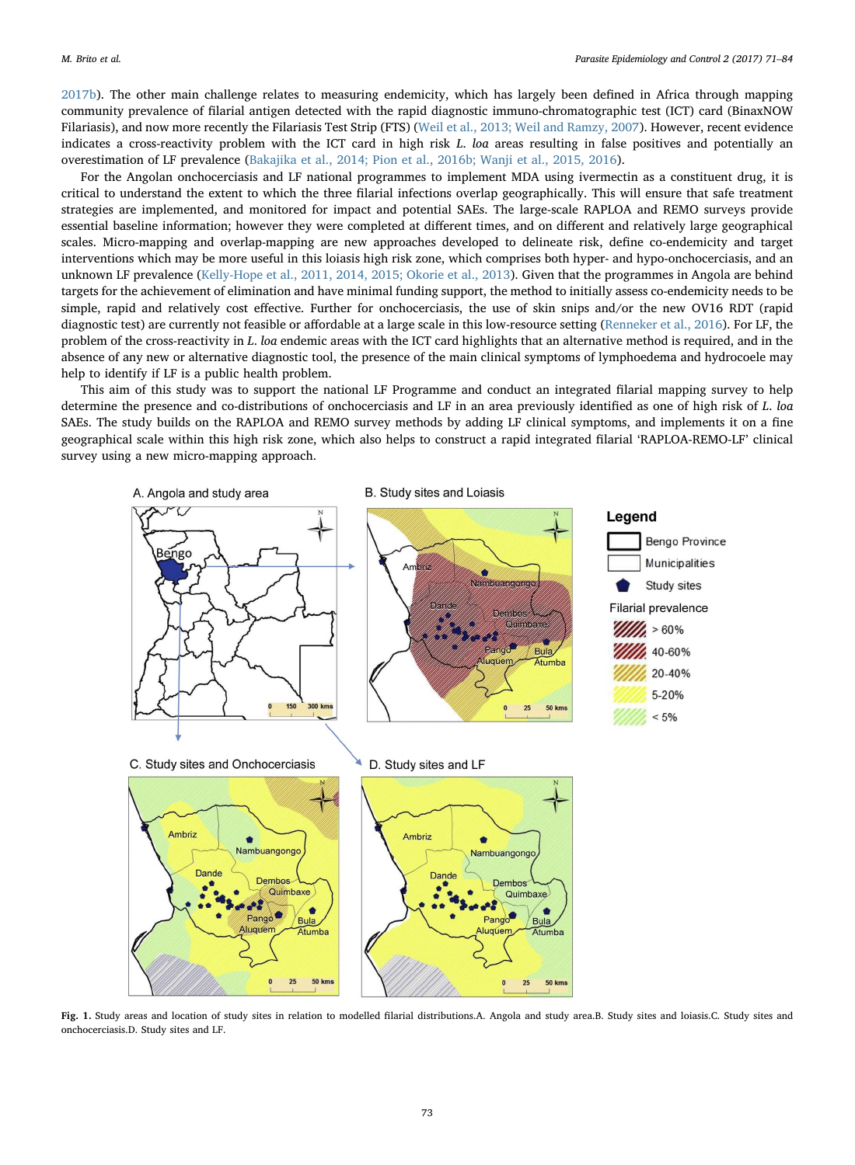[2017b](#page-12-13)). The other main challenge relates to measuring endemicity, which has largely been defined in Africa through mapping community prevalence of filarial antigen detected with the rapid diagnostic immuno-chromatographic test (ICT) card (BinaxNOW Filariasis), and now more recently the Filariasis Test Strip (FTS) [\(Weil et al., 2013; Weil and Ramzy, 2007](#page-13-5)). However, recent evidence indicates a cross-reactivity problem with the ICT card in high risk L. loa areas resulting in false positives and potentially an overestimation of LF prevalence ([Bakajika et al., 2014; Pion et al., 2016b; Wanji et al., 2015, 2016\)](#page-11-2).

For the Angolan onchocerciasis and LF national programmes to implement MDA using ivermectin as a constituent drug, it is critical to understand the extent to which the three filarial infections overlap geographically. This will ensure that safe treatment strategies are implemented, and monitored for impact and potential SAEs. The large-scale RAPLOA and REMO surveys provide essential baseline information; however they were completed at different times, and on different and relatively large geographical scales. Micro-mapping and overlap-mapping are new approaches developed to delineate risk, define co-endemicity and target interventions which may be more useful in this loiasis high risk zone, which comprises both hyper- and hypo-onchocerciasis, and an unknown LF prevalence [\(Kelly-Hope et al., 2011, 2014, 2015; Okorie et al., 2013](#page-12-14)). Given that the programmes in Angola are behind targets for the achievement of elimination and have minimal funding support, the method to initially assess co-endemicity needs to be simple, rapid and relatively cost effective. Further for onchocerciasis, the use of skin snips and/or the new OV16 RDT (rapid diagnostic test) are currently not feasible or affordable at a large scale in this low-resource setting [\(Renneker et al., 2016](#page-12-15)). For LF, the problem of the cross-reactivity in L. loa endemic areas with the ICT card highlights that an alternative method is required, and in the absence of any new or alternative diagnostic tool, the presence of the main clinical symptoms of lymphoedema and hydrocoele may help to identify if LF is a public health problem.

This aim of this study was to support the national LF Programme and conduct an integrated filarial mapping survey to help determine the presence and co-distributions of onchocerciasis and LF in an area previously identified as one of high risk of L. loa SAEs. The study builds on the RAPLOA and REMO survey methods by adding LF clinical symptoms, and implements it on a fine geographical scale within this high risk zone, which also helps to construct a rapid integrated filarial 'RAPLOA-REMO-LF' clinical survey using a new micro-mapping approach.

<span id="page-2-0"></span>

Fig. 1. Study areas and location of study sites in relation to modelled filarial distributions.A. Angola and study area.B. Study sites and loiasis.C. Study sites and onchocerciasis.D. Study sites and LF.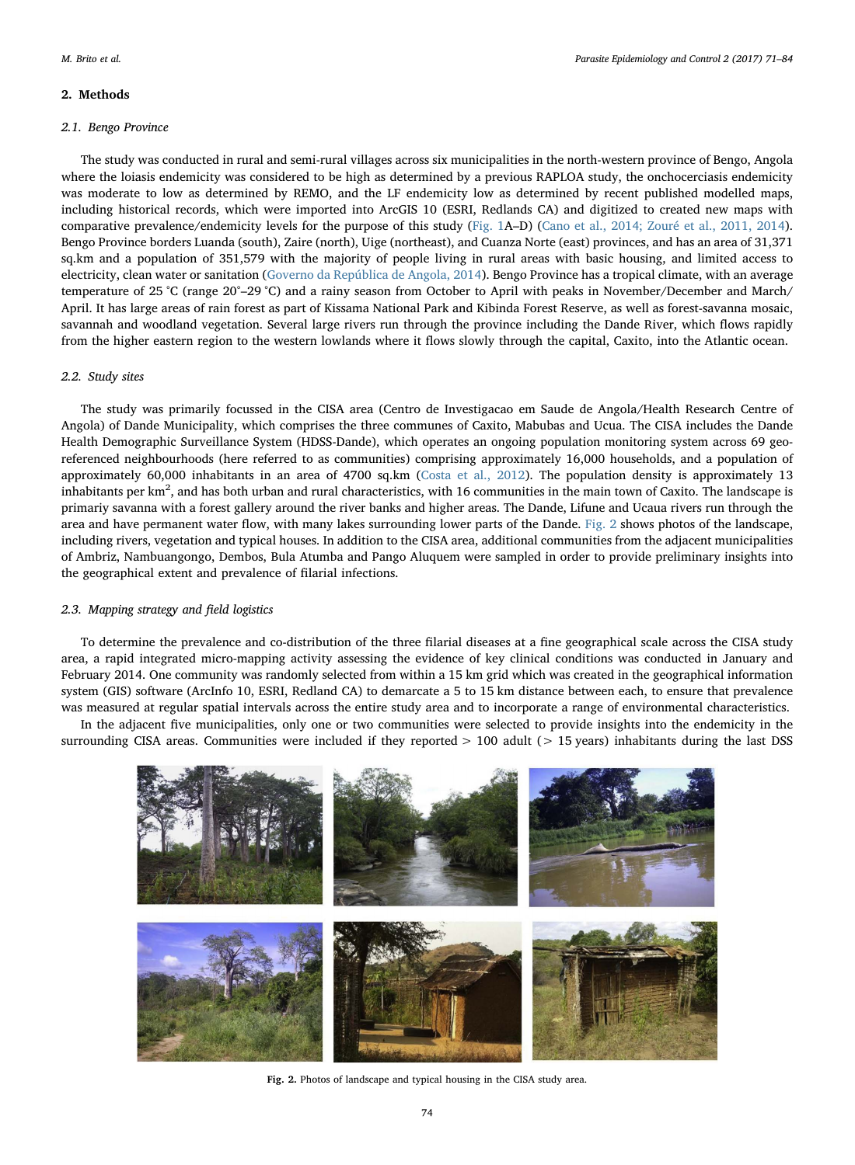#### 2. Methods

#### 2.1. Bengo Province

The study was conducted in rural and semi-rural villages across six municipalities in the north-western province of Bengo, Angola where the loiasis endemicity was considered to be high as determined by a previous RAPLOA study, the onchocerciasis endemicity was moderate to low as determined by REMO, and the LF endemicity low as determined by recent published modelled maps, including historical records, which were imported into ArcGIS 10 (ESRI, Redlands CA) and digitized to created new maps with comparative prevalence/endemicity levels for the purpose of this study ([Fig. 1](#page-2-0)A–D) [\(Cano et al., 2014; Zouré et al., 2011, 2014\)](#page-12-6). Bengo Province borders Luanda (south), Zaire (north), Uige (northeast), and Cuanza Norte (east) provinces, and has an area of 31,371 sq.km and a population of 351,579 with the majority of people living in rural areas with basic housing, and limited access to electricity, clean water or sanitation [\(Governo da República de Angola, 2014\)](#page-12-16). Bengo Province has a tropical climate, with an average temperature of 25 °C (range 20°–29 °C) and a rainy season from October to April with peaks in November/December and March/ April. It has large areas of rain forest as part of Kissama National Park and Kibinda Forest Reserve, as well as forest-savanna mosaic, savannah and woodland vegetation. Several large rivers run through the province including the Dande River, which flows rapidly from the higher eastern region to the western lowlands where it flows slowly through the capital, Caxito, into the Atlantic ocean.

#### 2.2. Study sites

The study was primarily focussed in the CISA area (Centro de Investigacao em Saude de Angola/Health Research Centre of Angola) of Dande Municipality, which comprises the three communes of Caxito, Mabubas and Ucua. The CISA includes the Dande Health Demographic Surveillance System (HDSS-Dande), which operates an ongoing population monitoring system across 69 georeferenced neighbourhoods (here referred to as communities) comprising approximately 16,000 households, and a population of approximately 60,000 inhabitants in an area of 4700 sq.km [\(Costa et al., 2012](#page-12-17)). The population density is approximately 13 inhabitants per km<sup>2</sup>, and has both urban and rural characteristics, with 16 communities in the main town of Caxito. The landscape is primariy savanna with a forest gallery around the river banks and higher areas. The Dande, Lifune and Ucaua rivers run through the area and have permanent water flow, with many lakes surrounding lower parts of the Dande. [Fig. 2](#page-3-0) shows photos of the landscape, including rivers, vegetation and typical houses. In addition to the CISA area, additional communities from the adjacent municipalities of Ambriz, Nambuangongo, Dembos, Bula Atumba and Pango Aluquem were sampled in order to provide preliminary insights into the geographical extent and prevalence of filarial infections.

#### 2.3. Mapping strategy and field logistics

To determine the prevalence and co-distribution of the three filarial diseases at a fine geographical scale across the CISA study area, a rapid integrated micro-mapping activity assessing the evidence of key clinical conditions was conducted in January and February 2014. One community was randomly selected from within a 15 km grid which was created in the geographical information system (GIS) software (ArcInfo 10, ESRI, Redland CA) to demarcate a 5 to 15 km distance between each, to ensure that prevalence was measured at regular spatial intervals across the entire study area and to incorporate a range of environmental characteristics.

<span id="page-3-0"></span>In the adjacent five municipalities, only one or two communities were selected to provide insights into the endemicity in the surrounding CISA areas. Communities were included if they reported > 100 adult (> 15 years) inhabitants during the last DSS



Fig. 2. Photos of landscape and typical housing in the CISA study area.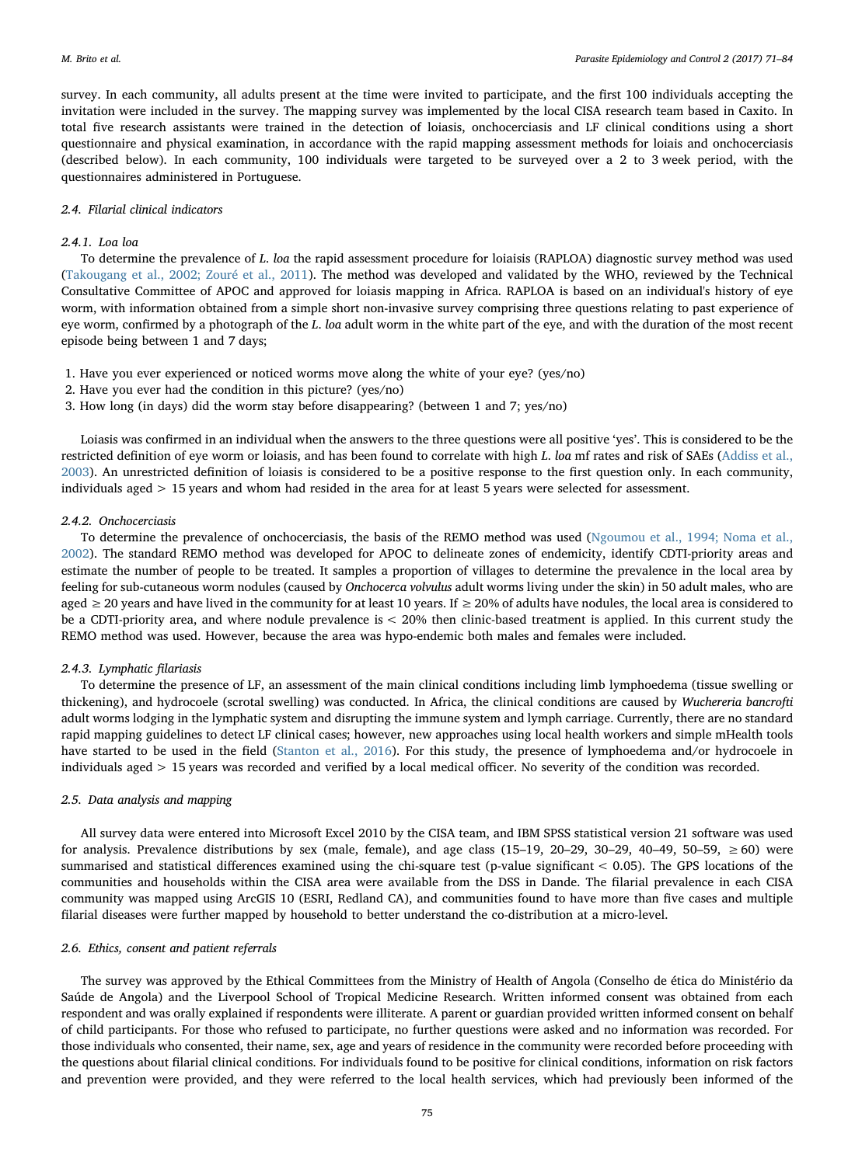survey. In each community, all adults present at the time were invited to participate, and the first 100 individuals accepting the invitation were included in the survey. The mapping survey was implemented by the local CISA research team based in Caxito. In total five research assistants were trained in the detection of loiasis, onchocerciasis and LF clinical conditions using a short questionnaire and physical examination, in accordance with the rapid mapping assessment methods for loiais and onchocerciasis (described below). In each community, 100 individuals were targeted to be surveyed over a 2 to 3 week period, with the questionnaires administered in Portuguese.

#### 2.4. Filarial clinical indicators

#### 2.4.1. Loa loa

To determine the prevalence of L. loa the rapid assessment procedure for loiaisis (RAPLOA) diagnostic survey method was used ([Takougang et al., 2002; Zouré et al., 2011](#page-13-2)). The method was developed and validated by the WHO, reviewed by the Technical Consultative Committee of APOC and approved for loiasis mapping in Africa. RAPLOA is based on an individual's history of eye worm, with information obtained from a simple short non-invasive survey comprising three questions relating to past experience of eye worm, confirmed by a photograph of the L. loa adult worm in the white part of the eye, and with the duration of the most recent episode being between 1 and 7 days;

- 1. Have you ever experienced or noticed worms move along the white of your eye? (yes/no)
- 2. Have you ever had the condition in this picture? (yes/no)
- 3. How long (in days) did the worm stay before disappearing? (between 1 and 7; yes/no)

Loiasis was confirmed in an individual when the answers to the three questions were all positive 'yes'. This is considered to be the restricted definition of eye worm or loiasis, and has been found to correlate with high L. loa mf rates and risk of SAEs ([Addiss et al.,](#page-11-1) [2003\)](#page-11-1). An unrestricted definition of loiasis is considered to be a positive response to the first question only. In each community, individuals aged > 15 years and whom had resided in the area for at least 5 years were selected for assessment.

#### 2.4.2. Onchocerciasis

To determine the prevalence of onchocerciasis, the basis of the REMO method was used ([Ngoumou et al., 1994; Noma et al.,](#page-12-8) [2002\)](#page-12-8). The standard REMO method was developed for APOC to delineate zones of endemicity, identify CDTI-priority areas and estimate the number of people to be treated. It samples a proportion of villages to determine the prevalence in the local area by feeling for sub-cutaneous worm nodules (caused by Onchocerca volvulus adult worms living under the skin) in 50 adult males, who are aged ≥20 years and have lived in the community for at least 10 years. If ≥20% of adults have nodules, the local area is considered to be a CDTI-priority area, and where nodule prevalence is < 20% then clinic-based treatment is applied. In this current study the REMO method was used. However, because the area was hypo-endemic both males and females were included.

#### 2.4.3. Lymphatic filariasis

To determine the presence of LF, an assessment of the main clinical conditions including limb lymphoedema (tissue swelling or thickening), and hydrocoele (scrotal swelling) was conducted. In Africa, the clinical conditions are caused by Wuchereria bancrofti adult worms lodging in the lymphatic system and disrupting the immune system and lymph carriage. Currently, there are no standard rapid mapping guidelines to detect LF clinical cases; however, new approaches using local health workers and simple mHealth tools have started to be used in the field ([Stanton et al., 2016\)](#page-13-6). For this study, the presence of lymphoedema and/or hydrocoele in individuals aged > 15 years was recorded and verified by a local medical officer. No severity of the condition was recorded.

#### 2.5. Data analysis and mapping

All survey data were entered into Microsoft Excel 2010 by the CISA team, and IBM SPSS statistical version 21 software was used for analysis. Prevalence distributions by sex (male, female), and age class (15–19, 20–29, 30–29, 40–49, 50–59,  $\geq 60$ ) were summarised and statistical differences examined using the chi-square test (p-value significant < 0.05). The GPS locations of the communities and households within the CISA area were available from the DSS in Dande. The filarial prevalence in each CISA community was mapped using ArcGIS 10 (ESRI, Redland CA), and communities found to have more than five cases and multiple filarial diseases were further mapped by household to better understand the co-distribution at a micro-level.

#### 2.6. Ethics, consent and patient referrals

The survey was approved by the Ethical Committees from the Ministry of Health of Angola (Conselho de ética do Ministério da Saúde de Angola) and the Liverpool School of Tropical Medicine Research. Written informed consent was obtained from each respondent and was orally explained if respondents were illiterate. A parent or guardian provided written informed consent on behalf of child participants. For those who refused to participate, no further questions were asked and no information was recorded. For those individuals who consented, their name, sex, age and years of residence in the community were recorded before proceeding with the questions about filarial clinical conditions. For individuals found to be positive for clinical conditions, information on risk factors and prevention were provided, and they were referred to the local health services, which had previously been informed of the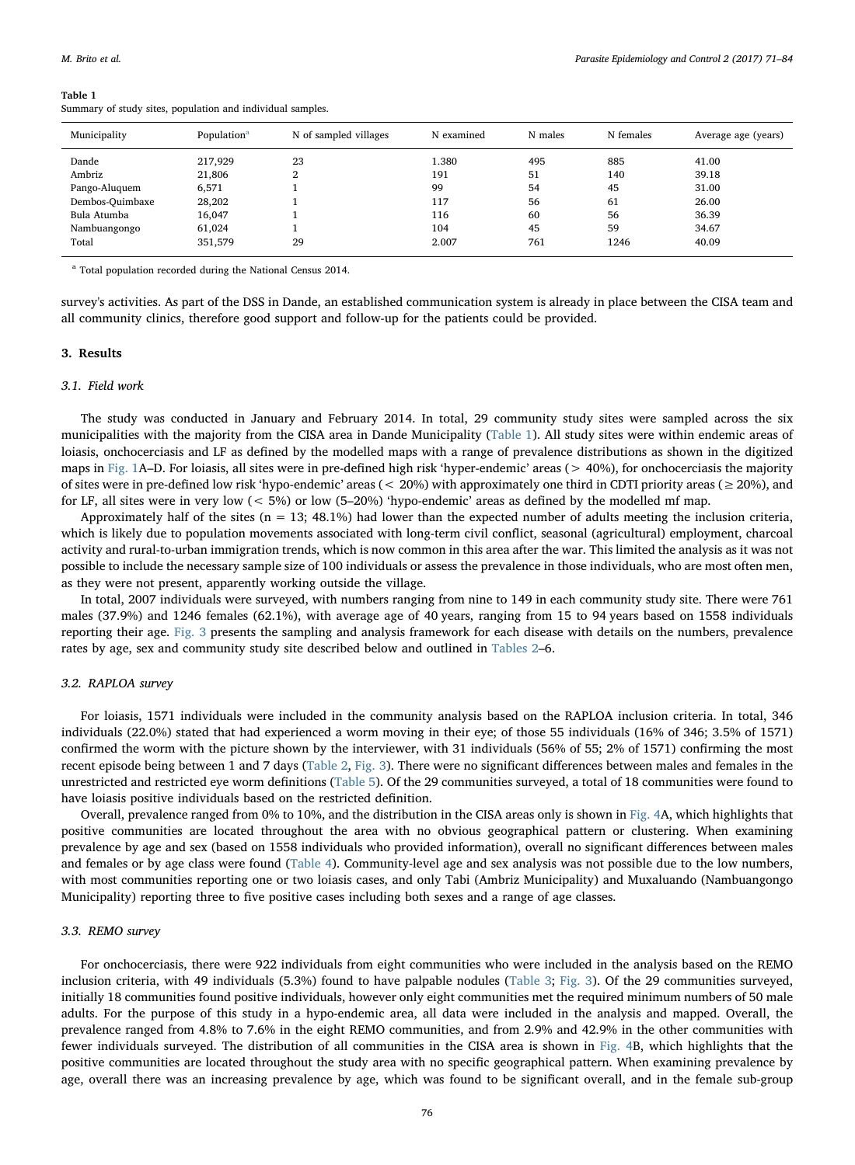<span id="page-5-0"></span>Summary of study sites, population and individual samples.

| Municipality    | Population <sup>a</sup> | N of sampled villages | N examined<br>N males |     | N females | Average age (years) |  |
|-----------------|-------------------------|-----------------------|-----------------------|-----|-----------|---------------------|--|
| Dande           | 217,929                 | 23                    | 1.380                 | 495 | 885       | 41.00               |  |
| Ambriz          | 21,806                  | 2                     | 191                   | 51  | 140       | 39.18               |  |
| Pango-Aluquem   | 6,571                   |                       | 99                    | 54  | 45        | 31.00               |  |
| Dembos-Quimbaxe | 28,202                  |                       | 117                   | 56  | 61        | 26.00               |  |
| Bula Atumba     | 16,047                  |                       | 116                   | 60  | 56        | 36.39               |  |
| Nambuangongo    | 61.024                  |                       | 104                   | 45  | 59        | 34.67               |  |
| Total           | 351,579                 | 29                    | 2.007                 | 761 | 1246      | 40.09               |  |

<span id="page-5-1"></span><sup>a</sup> Total population recorded during the National Census 2014.

survey's activities. As part of the DSS in Dande, an established communication system is already in place between the CISA team and all community clinics, therefore good support and follow-up for the patients could be provided.

#### 3. Results

#### 3.1. Field work

The study was conducted in January and February 2014. In total, 29 community study sites were sampled across the six municipalities with the majority from the CISA area in Dande Municipality ([Table 1](#page-5-0)). All study sites were within endemic areas of loiasis, onchocerciasis and LF as defined by the modelled maps with a range of prevalence distributions as shown in the digitized maps in [Fig. 1](#page-2-0)A–D. For loiasis, all sites were in pre-defined high risk 'hyper-endemic' areas (> 40%), for onchocerciasis the majority of sites were in pre-defined low risk 'hypo-endemic' areas ( $\lt$  20%) with approximately one third in CDTI priority areas ( $\ge$  20%), and for LF, all sites were in very low (< 5%) or low (5–20%) 'hypo-endemic' areas as defined by the modelled mf map.

Approximately half of the sites ( $n = 13$ ; 48.1%) had lower than the expected number of adults meeting the inclusion criteria, which is likely due to population movements associated with long-term civil conflict, seasonal (agricultural) employment, charcoal activity and rural-to-urban immigration trends, which is now common in this area after the war. This limited the analysis as it was not possible to include the necessary sample size of 100 individuals or assess the prevalence in those individuals, who are most often men, as they were not present, apparently working outside the village.

In total, 2007 individuals were surveyed, with numbers ranging from nine to 149 in each community study site. There were 761 males (37.9%) and 1246 females (62.1%), with average age of 40 years, ranging from 15 to 94 years based on 1558 individuals reporting their age. [Fig. 3](#page-6-0) presents the sampling and analysis framework for each disease with details on the numbers, prevalence rates by age, sex and community study site described below and outlined in [Tables 2](#page-7-0)–6.

#### 3.2. RAPLOA survey

For loiasis, 1571 individuals were included in the community analysis based on the RAPLOA inclusion criteria. In total, 346 individuals (22.0%) stated that had experienced a worm moving in their eye; of those 55 individuals (16% of 346; 3.5% of 1571) confirmed the worm with the picture shown by the interviewer, with 31 individuals (56% of 55; 2% of 1571) confirming the most recent episode being between 1 and 7 days [\(Table 2,](#page-7-0) [Fig. 3\)](#page-6-0). There were no significant differences between males and females in the unrestricted and restricted eye worm definitions [\(Table 5](#page-9-0)). Of the 29 communities surveyed, a total of 18 communities were found to have loiasis positive individuals based on the restricted definition.

Overall, prevalence ranged from 0% to 10%, and the distribution in the CISA areas only is shown in [Fig. 4A](#page-7-1), which highlights that positive communities are located throughout the area with no obvious geographical pattern or clustering. When examining prevalence by age and sex (based on 1558 individuals who provided information), overall no significant differences between males and females or by age class were found ([Table 4](#page-9-1)). Community-level age and sex analysis was not possible due to the low numbers, with most communities reporting one or two loiasis cases, and only Tabi (Ambriz Municipality) and Muxaluando (Nambuangongo Municipality) reporting three to five positive cases including both sexes and a range of age classes.

#### 3.3. REMO survey

For onchocerciasis, there were 922 individuals from eight communities who were included in the analysis based on the REMO inclusion criteria, with 49 individuals (5.3%) found to have palpable nodules [\(Table 3](#page-8-0); [Fig.](#page-6-0) 3). Of the 29 communities surveyed, initially 18 communities found positive individuals, however only eight communities met the required minimum numbers of 50 male adults. For the purpose of this study in a hypo-endemic area, all data were included in the analysis and mapped. Overall, the prevalence ranged from 4.8% to 7.6% in the eight REMO communities, and from 2.9% and 42.9% in the other communities with fewer individuals surveyed. The distribution of all communities in the CISA area is shown in [Fig. 4](#page-7-1)B, which highlights that the positive communities are located throughout the study area with no specific geographical pattern. When examining prevalence by age, overall there was an increasing prevalence by age, which was found to be significant overall, and in the female sub-group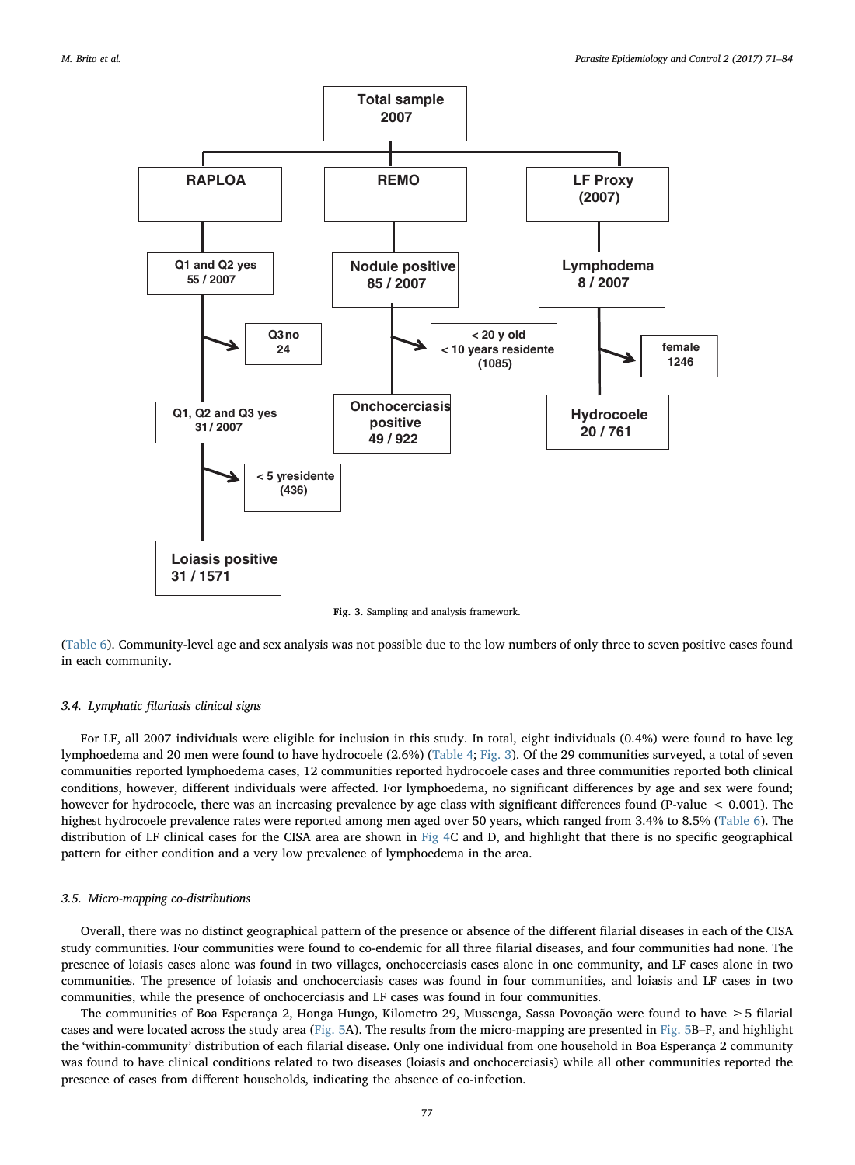<span id="page-6-0"></span>

Fig. 3. Sampling and analysis framework.

([Table 6](#page-10-0)). Community-level age and sex analysis was not possible due to the low numbers of only three to seven positive cases found in each community.

#### 3.4. Lymphatic filariasis clinical signs

For LF, all 2007 individuals were eligible for inclusion in this study. In total, eight individuals (0.4%) were found to have leg lymphoedema and 20 men were found to have hydrocoele (2.6%) [\(Table 4;](#page-9-1) [Fig. 3\)](#page-6-0). Of the 29 communities surveyed, a total of seven communities reported lymphoedema cases, 12 communities reported hydrocoele cases and three communities reported both clinical conditions, however, different individuals were affected. For lymphoedema, no significant differences by age and sex were found; however for hydrocoele, there was an increasing prevalence by age class with significant differences found (P-value < 0.001). The highest hydrocoele prevalence rates were reported among men aged over 50 years, which ranged from 3.4% to 8.5% ([Table 6](#page-10-0)). The distribution of LF clinical cases for the CISA area are shown in [Fig 4C](#page-7-1) and D, and highlight that there is no specific geographical pattern for either condition and a very low prevalence of lymphoedema in the area.

#### 3.5. Micro-mapping co-distributions

Overall, there was no distinct geographical pattern of the presence or absence of the different filarial diseases in each of the CISA study communities. Four communities were found to co-endemic for all three filarial diseases, and four communities had none. The presence of loiasis cases alone was found in two villages, onchocerciasis cases alone in one community, and LF cases alone in two communities. The presence of loiasis and onchocerciasis cases was found in four communities, and loiasis and LF cases in two communities, while the presence of onchocerciasis and LF cases was found in four communities.

The communities of Boa Esperança 2, Honga Hungo, Kilometro 29, Mussenga, Sassa Povoação were found to have ≥5 filarial cases and were located across the study area [\(Fig. 5](#page-10-1)A). The results from the micro-mapping are presented in [Fig. 5](#page-10-1)B–F, and highlight the 'within-community' distribution of each filarial disease. Only one individual from one household in Boa Esperança 2 community was found to have clinical conditions related to two diseases (loiasis and onchocerciasis) while all other communities reported the presence of cases from different households, indicating the absence of co-infection.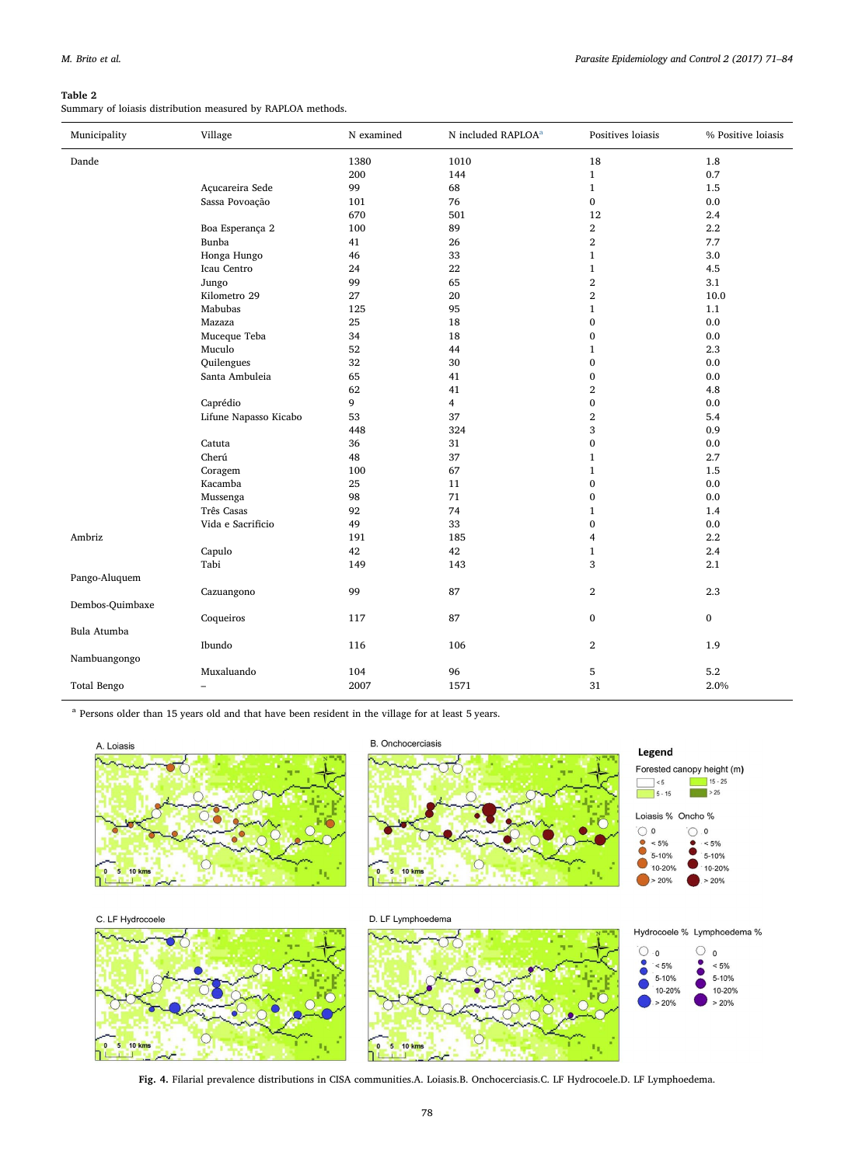#### M. Brito et al. *Parasite Epidemiology and Control 2 (2017) 71–84*

#### <span id="page-7-0"></span>Table 2

Summary of loiasis distribution measured by RAPLOA methods.

| Municipality    | Village               | N examined | N included RAPLOA <sup>a</sup> | Positives loiasis       | % Positive loiasis |
|-----------------|-----------------------|------------|--------------------------------|-------------------------|--------------------|
| Dande           |                       | 1380       | 1010                           | 18                      | 1.8                |
|                 |                       | 200        | 144                            | $\mathbf{1}$            | 0.7                |
|                 | Açucareira Sede       | 99         | 68                             | $\mathbf{1}$            | 1.5                |
|                 | Sassa Povoação        | 101        | 76                             | $\bf{0}$                | 0.0                |
|                 |                       | 670        | 501                            | 12                      | 2.4                |
|                 | Boa Esperança 2       | 100        | 89                             | $\overline{\mathbf{2}}$ | $2.2\,$            |
|                 | Bunba                 | 41         | 26                             | $\overline{2}$          | 7.7                |
|                 | Honga Hungo           | 46         | 33                             | $\mathbf{1}$            | 3.0                |
|                 | Icau Centro           | 24         | 22                             | $\mathbf{1}$            | 4.5                |
|                 | Jungo                 | 99         | 65                             | $\overline{2}$          | 3.1                |
|                 | Kilometro 29          | 27         | 20                             | $\overline{2}$          | 10.0               |
|                 | Mabubas               | 125        | 95                             | $\mathbf{1}$            | 1.1                |
|                 | Mazaza                | 25         | 18                             | $\bf{0}$                | 0.0                |
|                 | Muceque Teba          | 34         | 18                             | 0                       | 0.0                |
|                 | Muculo                | 52         | 44                             | $\mathbf{1}$            | 2.3                |
|                 | Quilengues            | 32         | 30                             | $\bf{0}$                | 0.0                |
|                 | Santa Ambuleia        | 65         | 41                             | $\bf{0}$                | 0.0                |
|                 |                       | 62         | 41                             | $\overline{2}$          | 4.8                |
|                 | Caprédio              | 9          | $\overline{4}$                 | $\bf{0}$                | 0.0                |
|                 | Lifune Napasso Kicabo | 53         | 37                             | $\overline{2}$          | 5.4                |
|                 |                       | 448        | 324                            | 3                       | 0.9                |
|                 | Catuta                | 36         | 31                             | 0                       | 0.0                |
|                 | Cherú                 | 48         | 37                             | $\mathbf{1}$            | 2.7                |
|                 | Coragem               | 100        | 67                             | $\mathbf{1}$            | 1.5                |
|                 | Kacamba               | 25         | 11                             | $\bf{0}$                | 0.0                |
|                 | Mussenga              | 98         | 71                             | 0                       | 0.0                |
|                 | Três Casas            | 92         | 74                             | $\mathbf{1}$            | 1.4                |
|                 | Vida e Sacrificio     | 49         | 33                             | $\mathbf 0$             | 0.0                |
| Ambriz          |                       | 191        | 185                            | 4                       | $2.2\,$            |
|                 | Capulo                | 42         | 42                             | $\mathbf{1}$            | 2.4                |
|                 | Tabi                  | 149        | 143                            | 3                       | 2.1                |
| Pango-Aluquem   |                       |            |                                |                         |                    |
|                 | Cazuangono            | 99         | 87                             | 2                       | 2.3                |
| Dembos-Quimbaxe |                       |            |                                |                         |                    |
|                 | Coqueiros             | 117        | 87                             | $\bf{0}$                | $\bf{0}$           |
| Bula Atumba     |                       |            |                                |                         |                    |
|                 | Ibundo                | 116        | 106                            | 2                       | 1.9                |
| Nambuangongo    |                       |            |                                |                         |                    |
|                 | Muxaluando            | 104        | 96                             | 5                       | 5.2                |
| Total Bengo     | -                     | 2007       | 1571                           | 31                      | 2.0%               |

<span id="page-7-2"></span><sup>a</sup> Persons older than 15 years old and that have been resident in the village for at least 5 years.

<span id="page-7-1"></span>

Fig. 4. Filarial prevalence distributions in CISA communities.A. Loiasis.B. Onchocerciasis.C. LF Hydrocoele.D. LF Lymphoedema.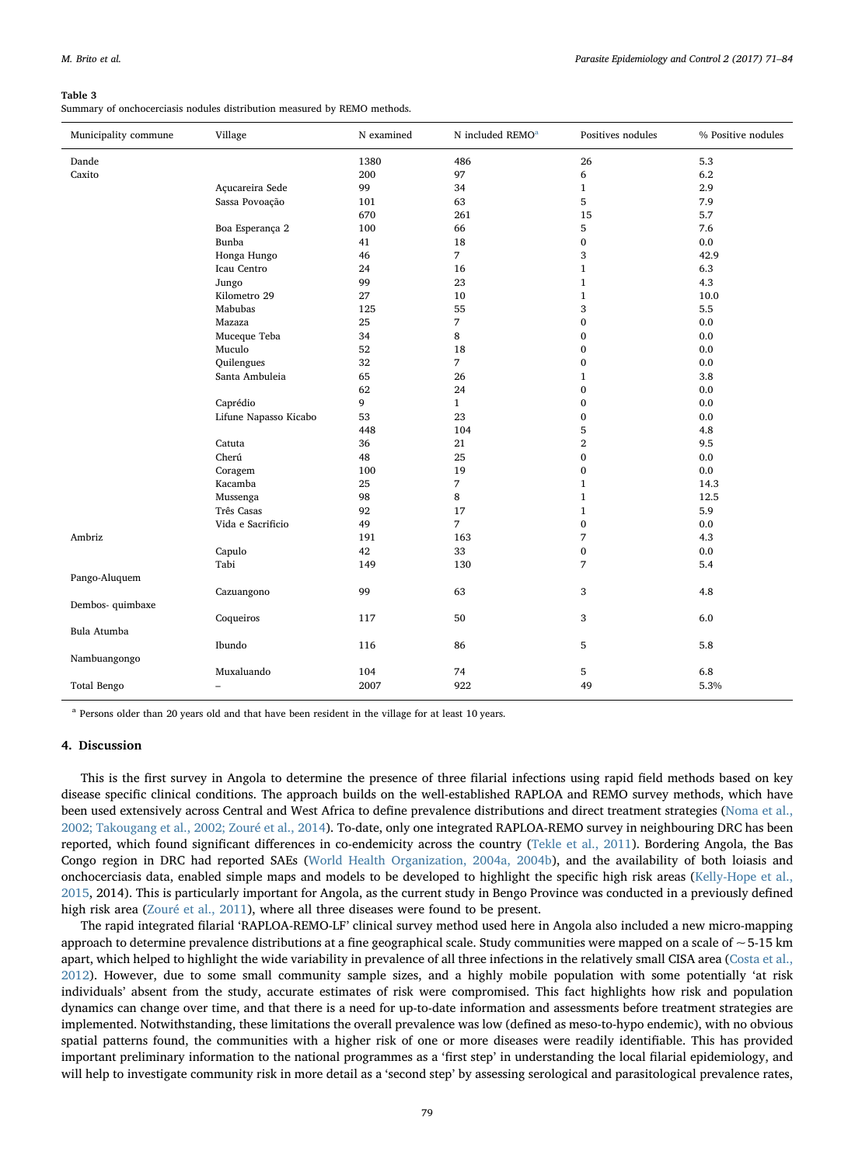<span id="page-8-0"></span>Summary of onchocerciasis nodules distribution measured by REMO methods.

| Municipality commune | Village                  | N examined | N included REMO <sup>a</sup> | Positives nodules | % Positive nodules |
|----------------------|--------------------------|------------|------------------------------|-------------------|--------------------|
| Dande                |                          | 1380       | 486                          | 26                | 5.3                |
| Caxito               |                          | 200        | 97                           | 6                 | $6.2\,$            |
|                      | Açucareira Sede          | 99         | 34                           | $\mathbf{1}$      | 2.9                |
|                      | Sassa Povoação           | 101        | 63                           | 5                 | 7.9                |
|                      |                          | 670        | 261                          | 15                | 5.7                |
|                      | Boa Esperança 2          | 100        | 66                           | 5                 | 7.6                |
|                      | Bunba                    | 41         | 18                           | $\boldsymbol{0}$  | 0.0                |
|                      | Honga Hungo              | 46         | $\overline{7}$               | 3                 | 42.9               |
|                      | Icau Centro              | 24         | 16                           | $\mathbf 1$       | 6.3                |
|                      | Jungo                    | 99         | 23                           | $\mathbf{1}$      | 4.3                |
|                      | Kilometro 29             | 27         | 10                           | $\mathbf{1}$      | 10.0               |
|                      | Mabubas                  | 125        | 55                           | 3                 | 5.5                |
|                      | Mazaza                   | 25         | $\overline{7}$               | $\bf{0}$          | 0.0                |
|                      | Muceque Teba             | 34         | 8                            | $\bf{0}$          | 0.0                |
|                      | Muculo                   | 52         | 18                           | $\bf{0}$          | 0.0                |
|                      | Quilengues               | 32         | $\overline{7}$               | $\bf{0}$          | $0.0\,$            |
|                      | Santa Ambuleia           | 65         | 26                           | $\mathbf{1}$      | 3.8                |
|                      |                          | 62         | 24                           | $\bf{0}$          | 0.0                |
|                      | Caprédio                 | 9          | $\mathbf{1}$                 | $\bf{0}$          | 0.0                |
|                      | Lifune Napasso Kicabo    | 53         | 23                           | $\bf{0}$          | 0.0                |
|                      |                          | 448        | 104                          | 5                 | 4.8                |
|                      | Catuta                   | 36         | 21                           | $\overline{2}$    | 9.5                |
|                      | Cherú                    | 48         | 25                           | $\bf{0}$          | 0.0                |
|                      | Coragem                  | 100        | 19                           | $\bf{0}$          | 0.0                |
|                      | Kacamba                  | 25         | $\overline{7}$               | $\mathbf{1}$      | 14.3               |
|                      | Mussenga                 | 98         | 8                            | $\mathbf{1}$      | 12.5               |
|                      | Três Casas               | 92         | 17                           | $\mathbf{1}$      | 5.9                |
|                      | Vida e Sacrificio        | 49         | 7                            | $\bf{0}$          | $0.0\,$            |
| Ambriz               |                          | 191        | 163                          | $\overline{7}$    | 4.3                |
|                      | Capulo                   | 42         | 33                           | $\bf{0}$          | 0.0                |
|                      | Tabi                     | 149        | 130                          | 7                 | 5.4                |
| Pango-Aluquem        |                          |            |                              |                   |                    |
|                      | Cazuangono               | 99         | 63                           | 3                 | 4.8                |
| Dembos- quimbaxe     |                          |            |                              |                   |                    |
|                      | Coqueiros                | 117        | 50                           | 3                 | $6.0\,$            |
| Bula Atumba          |                          |            |                              |                   |                    |
|                      | Ibundo                   | 116        | 86                           | 5                 | 5.8                |
| Nambuangongo         |                          |            |                              |                   |                    |
|                      | Muxaluando               | 104        | 74                           | 5                 | 6.8                |
| Total Bengo          | $\overline{\phantom{0}}$ | 2007       | 922                          | 49                | 5.3%               |

<span id="page-8-1"></span><sup>a</sup> Persons older than 20 years old and that have been resident in the village for at least 10 years.

#### 4. Discussion

This is the first survey in Angola to determine the presence of three filarial infections using rapid field methods based on key disease specific clinical conditions. The approach builds on the well-established RAPLOA and REMO survey methods, which have been used extensively across Central and West Africa to define prevalence distributions and direct treatment strategies [\(Noma et al.,](#page-12-7) [2002; Takougang et al., 2002; Zouré et al., 2014\)](#page-12-7). To-date, only one integrated RAPLOA-REMO survey in neighbouring DRC has been reported, which found significant differences in co-endemicity across the country ([Tekle et al., 2011](#page-13-7)). Bordering Angola, the Bas Congo region in DRC had reported SAEs [\(World Health Organization, 2004a, 2004b\)](#page-13-8), and the availability of both loiasis and onchocerciasis data, enabled simple maps and models to be developed to highlight the specific high risk areas ([Kelly-Hope et al.,](#page-12-18) [2015,](#page-12-18) 2014). This is particularly important for Angola, as the current study in Bengo Province was conducted in a previously defined high risk area ([Zouré et al., 2011\)](#page-13-3), where all three diseases were found to be present.

The rapid integrated filarial 'RAPLOA-REMO-LF' clinical survey method used here in Angola also included a new micro-mapping approach to determine prevalence distributions at a fine geographical scale. Study communities were mapped on a scale of  $\sim$  5-15 km apart, which helped to highlight the wide variability in prevalence of all three infections in the relatively small CISA area ([Costa et al.,](#page-12-17) [2012\)](#page-12-17). However, due to some small community sample sizes, and a highly mobile population with some potentially 'at risk individuals' absent from the study, accurate estimates of risk were compromised. This fact highlights how risk and population dynamics can change over time, and that there is a need for up-to-date information and assessments before treatment strategies are implemented. Notwithstanding, these limitations the overall prevalence was low (defined as meso-to-hypo endemic), with no obvious spatial patterns found, the communities with a higher risk of one or more diseases were readily identifiable. This has provided important preliminary information to the national programmes as a 'first step' in understanding the local filarial epidemiology, and will help to investigate community risk in more detail as a 'second step' by assessing serological and parasitological prevalence rates,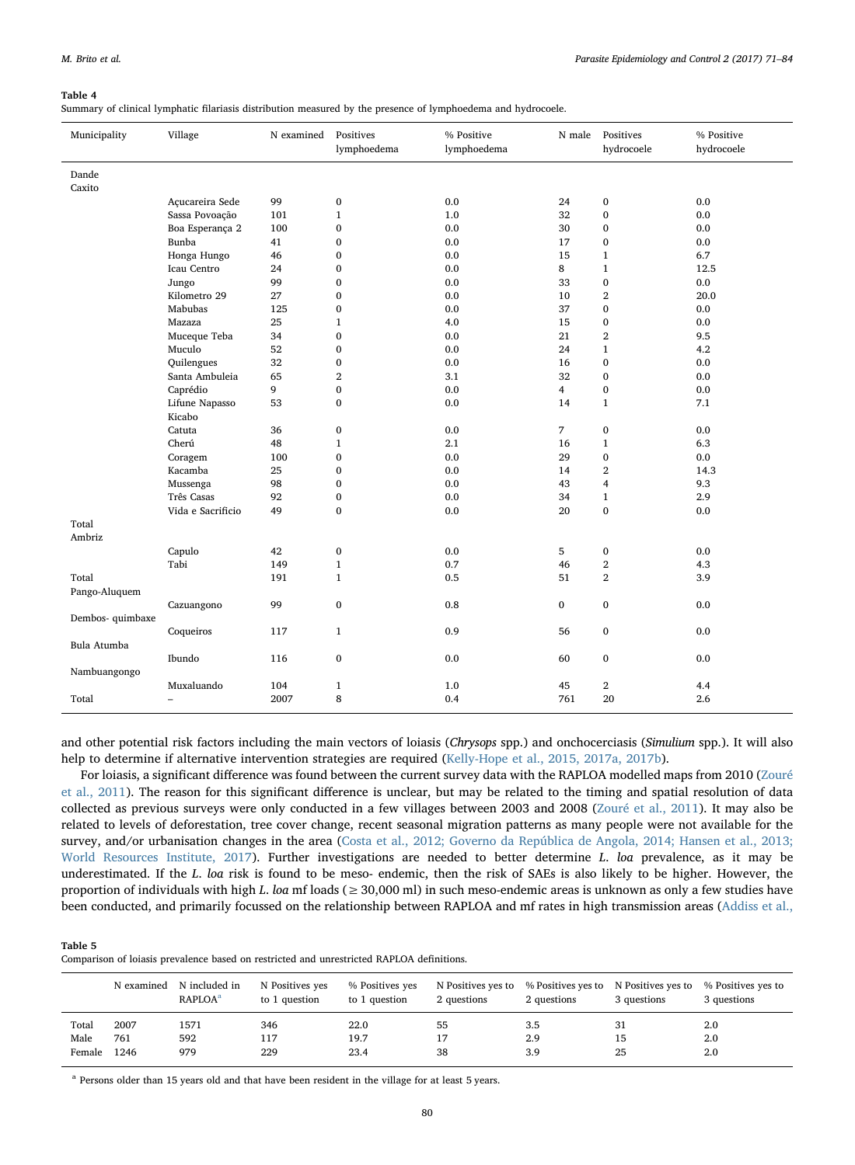<span id="page-9-1"></span>Summary of clinical lymphatic filariasis distribution measured by the presence of lymphoedema and hydrocoele.

| Municipality     | Village                  | N examined | Positives<br>lymphoedema | % Positive<br>lymphoedema |                | N male Positives<br>hydrocoele | % Positive<br>hydrocoele |
|------------------|--------------------------|------------|--------------------------|---------------------------|----------------|--------------------------------|--------------------------|
| Dande<br>Caxito  |                          |            |                          |                           |                |                                |                          |
|                  | Açucareira Sede          | 99         | 0                        | 0.0                       | 24             | $\pmb{0}$                      | 0.0                      |
|                  | Sassa Povoação           | 101        | $\mathbf{1}$             | 1.0                       | 32             | $\bf{0}$                       | 0.0                      |
|                  | Boa Esperança 2          | 100        | $\mathbf{0}$             | 0.0                       | 30             | $\bf{0}$                       | 0.0                      |
|                  | Bunba                    | 41         | $\bf{0}$                 | 0.0                       | 17             | $\bf{0}$                       | 0.0                      |
|                  | Honga Hungo              | 46         | $\boldsymbol{0}$         | 0.0                       | 15             | $\mathbf{1}$                   | 6.7                      |
|                  | Icau Centro              | 24         | $\bf{0}$                 | 0.0                       | 8              | $\mathbf{1}$                   | 12.5                     |
|                  | Jungo                    | 99         | $\bf{0}$                 | 0.0                       | 33             | $\bf{0}$                       | 0.0                      |
|                  | Kilometro 29             | 27         | $\boldsymbol{0}$         | 0.0                       | 10             | $\overline{2}$                 | 20.0                     |
|                  | Mabubas                  | 125        | $\boldsymbol{0}$         | 0.0                       | 37             | $\bf{0}$                       | 0.0                      |
|                  | Mazaza                   | 25         | $\mathbf{1}$             | 4.0                       | 15             | $\bf{0}$                       | 0.0                      |
|                  | Muceque Teba             | 34         | $\boldsymbol{0}$         | 0.0                       | 21             | $\overline{2}$                 | 9.5                      |
|                  | Muculo                   | 52         | $\bf{0}$                 | 0.0                       | 24             | $\mathbf{1}$                   | 4.2                      |
|                  | Quilengues               | 32         | $\boldsymbol{0}$         | 0.0                       | 16             | $\bf{0}$                       | 0.0                      |
|                  | Santa Ambuleia           | 65         | $\overline{2}$           | 3.1                       | 32             | $\mathbf{0}$                   | 0.0                      |
|                  | Caprédio                 | 9          | $\boldsymbol{0}$         | $0.0\,$                   | $\overline{4}$ | $\bf{0}$                       | 0.0                      |
|                  | Lifune Napasso           | 53         | $\mathbf{0}$             | 0.0                       | 14             | $\mathbf{1}$                   | 7.1                      |
|                  | Kicabo                   |            |                          |                           |                |                                |                          |
|                  | Catuta                   | 36         | $\bf{0}$                 | 0.0                       | $\overline{7}$ | $\bf{0}$                       | 0.0                      |
|                  | Cherú                    | 48         | $\mathbf{1}$             | 2.1                       | 16             | $\mathbf 1$                    | 6.3                      |
|                  | Coragem                  | 100        | $\bf{0}$                 | 0.0                       | 29             | $\bf{0}$                       | 0.0                      |
|                  | Kacamba                  | 25         | $\boldsymbol{0}$         | 0.0                       | 14             | $\overline{2}$                 | 14.3                     |
|                  | Mussenga                 | 98         | $\bf{0}$                 | 0.0                       | 43             | 4                              | 9.3                      |
|                  | Três Casas               | 92         | $\boldsymbol{0}$         | 0.0                       | 34             | $\mathbf{1}$                   | 2.9                      |
|                  | Vida e Sacrificio        | 49         | $\bf{0}$                 | 0.0                       | 20             | $\mathbf{0}$                   | 0.0                      |
| Total            |                          |            |                          |                           |                |                                |                          |
| Ambriz           |                          |            |                          |                           |                |                                |                          |
|                  | Capulo                   | 42         | $\pmb{0}$                | 0.0                       | 5              | $\bf{0}$                       | 0.0                      |
|                  | Tabi                     | 149        | $\mathbf{1}$             | 0.7                       | 46             | $\,2$                          | 4.3                      |
| Total            |                          | 191        | $\mathbf{1}$             | 0.5                       | 51             | $\overline{2}$                 | 3.9                      |
| Pango-Aluquem    |                          |            |                          |                           |                |                                |                          |
|                  | Cazuangono               | 99         | $\bf{0}$                 | $0.8\,$                   | $\mathbf 0$    | $\bf{0}$                       | 0.0                      |
| Dembos- quimbaxe |                          |            |                          |                           |                |                                |                          |
|                  | Coqueiros                | 117        | $\mathbf{1}$             | 0.9                       | 56             | $\bf{0}$                       | 0.0                      |
| Bula Atumba      |                          |            |                          |                           |                |                                |                          |
|                  | Ibundo                   | 116        | $\pmb{0}$                | 0.0                       | 60             | $\pmb{0}$                      | 0.0                      |
| Nambuangongo     |                          |            |                          |                           |                |                                |                          |
|                  | Muxaluando               | 104        | $\mathbf{1}$             | 1.0                       | 45             | $\,2$                          | 4.4                      |
| Total            | $\overline{\phantom{0}}$ | 2007       | 8                        | 0.4                       | 761            | 20                             | 2.6                      |

and other potential risk factors including the main vectors of loiasis (Chrysops spp.) and onchocerciasis (Simulium spp.). It will also help to determine if alternative intervention strategies are required ([Kelly-Hope et al., 2015, 2017a, 2017b](#page-12-18)).

For loiasis, a significant difference was found between the current survey data with the RAPLOA modelled maps from 2010 ([Zouré](#page-13-3) [et al., 2011](#page-13-3)). The reason for this significant difference is unclear, but may be related to the timing and spatial resolution of data collected as previous surveys were only conducted in a few villages between 2003 and 2008 [\(Zouré et al., 2011](#page-13-3)). It may also be related to levels of deforestation, tree cover change, recent seasonal migration patterns as many people were not available for the survey, and/or urbanisation changes in the area ([Costa et al., 2012; Governo da República de Angola, 2014; Hansen et al., 2013;](#page-12-17) [World Resources Institute, 2017\)](#page-12-17). Further investigations are needed to better determine L. loa prevalence, as it may be underestimated. If the L. loa risk is found to be meso- endemic, then the risk of SAEs is also likely to be higher. However, the proportion of individuals with high L. loa mf loads ( $\geq$  30,000 ml) in such meso-endemic areas is unknown as only a few studies have been conducted, and primarily focussed on the relationship between RAPLOA and mf rates in high transmission areas ([Addiss et al.,](#page-11-1)

#### <span id="page-9-0"></span>Table 5

Comparison of loiasis prevalence based on restricted and unrestricted RAPLOA definitions.

|        | N examined | N included in<br>RAPLOA <sup>a</sup> | N Positives yes<br>to 1 question | % Positives yes<br>to 1 question | 2 questions | N Positives yes to % Positives yes to N Positives yes to<br>2 questions | 3 questions | % Positives yes to<br>3 questions |
|--------|------------|--------------------------------------|----------------------------------|----------------------------------|-------------|-------------------------------------------------------------------------|-------------|-----------------------------------|
| Total  | 2007       | 1571                                 | 346                              | 22.0                             | 55          | 3.5                                                                     | 31          | 2.0                               |
| Male   | 761        | 592                                  | 117                              | 19.7                             |             | 2.9                                                                     | 15          | 2.0                               |
| Female | 1246       | 979                                  | 229                              | 23.4                             | 38          | 3.9                                                                     | 25          | 2.0                               |

<span id="page-9-2"></span><sup>a</sup> Persons older than 15 years old and that have been resident in the village for at least 5 years.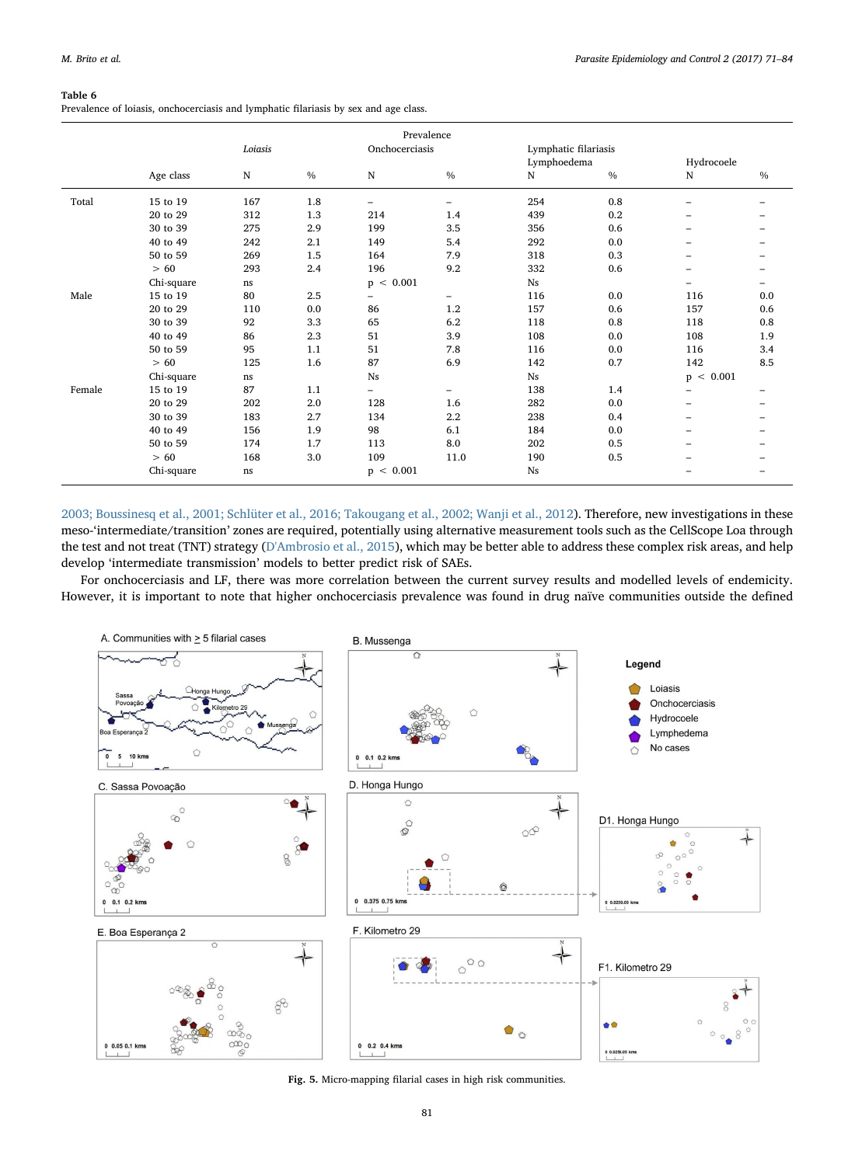<span id="page-10-0"></span>Prevalence of loiasis, onchocerciasis and lymphatic filariasis by sex and age class.

| Prevalence |            |         |               |                          |                          |                      |             |                          |                          |
|------------|------------|---------|---------------|--------------------------|--------------------------|----------------------|-------------|--------------------------|--------------------------|
|            |            | Loiasis |               | Onchocerciasis           |                          | Lymphatic filariasis |             |                          |                          |
|            |            |         |               |                          |                          |                      | Lymphoedema |                          | Hydrocoele               |
|            | Age class  | N       | $\frac{0}{0}$ | N                        | $\frac{0}{0}$            | N                    | $\%$        | N                        | $\%$                     |
| Total      | 15 to 19   | 167     | 1.8           | $\overline{\phantom{0}}$ | -                        | 254                  | 0.8         | -                        | -                        |
|            | 20 to 29   | 312     | 1.3           | 214                      | 1.4                      | 439                  | 0.2         | -                        |                          |
|            | 30 to 39   | 275     | 2.9           | 199                      | 3.5                      | 356                  | 0.6         | -                        | $\overline{\phantom{0}}$ |
|            | 40 to 49   | 242     | 2.1           | 149                      | 5.4                      | 292                  | 0.0         | -                        |                          |
|            | 50 to 59   | 269     | 1.5           | 164                      | 7.9                      | 318                  | 0.3         | -                        | $\overline{\phantom{0}}$ |
|            | > 60       | 293     | 2.4           | 196                      | 9.2                      | 332                  | 0.6         | -                        |                          |
|            | Chi-square | ns      |               | < 0.001<br>D             |                          | <b>Ns</b>            |             | -                        |                          |
| Male       | 15 to 19   | 80      | 2.5           | -                        | $\overline{\phantom{0}}$ | 116                  | 0.0         | 116                      | 0.0                      |
|            | 20 to 29   | 110     | 0.0           | 86                       | 1.2                      | 157                  | 0.6         | 157                      | 0.6                      |
|            | 30 to 39   | 92      | 3.3           | 65                       | 6.2                      | 118                  | 0.8         | 118                      | 0.8                      |
|            | 40 to 49   | 86      | 2.3           | 51                       | 3.9                      | 108                  | 0.0         | 108                      | 1.9                      |
|            | 50 to 59   | 95      | 1.1           | 51                       | 7.8                      | 116                  | 0.0         | 116                      | 3.4                      |
|            | > 60       | 125     | 1.6           | 87                       | 6.9                      | 142                  | 0.7         | 142                      | 8.5                      |
|            | Chi-square | ns      |               | $_{\rm Ns}$              |                          | Ns                   |             | p < 0.001                |                          |
| Female     | 15 to 19   | 87      | 1.1           | -                        | -                        | 138                  | 1.4         | $\overline{\phantom{0}}$ | -                        |
|            | 20 to 29   | 202     | 2.0           | 128                      | 1.6                      | 282                  | 0.0         | -                        |                          |
|            | 30 to 39   | 183     | 2.7           | 134                      | 2.2                      | 238                  | 0.4         | -                        |                          |
|            | 40 to 49   | 156     | 1.9           | 98                       | 6.1                      | 184                  | 0.0         | -                        |                          |
|            | 50 to 59   | 174     | 1.7           | 113                      | 8.0                      | 202                  | 0.5         | -                        |                          |
|            | >60        | 168     | 3.0           | 109                      | 11.0                     | 190                  | 0.5         | -                        |                          |
|            | Chi-square | ns      |               | p < 0.001                |                          | Ns                   |             |                          | -                        |

[2003; Boussinesq et al., 2001; Schlüter et al., 2016; Takougang et al., 2002; Wanji et al., 2012](#page-11-1)). Therefore, new investigations in these meso-'intermediate/transition' zones are required, potentially using alternative measurement tools such as the CellScope Loa through the test and not treat (TNT) strategy ([D'Ambrosio et al., 2015\)](#page-12-10), which may be better able to address these complex risk areas, and help develop 'intermediate transmission' models to better predict risk of SAEs.

For onchocerciasis and LF, there was more correlation between the current survey results and modelled levels of endemicity. However, it is important to note that higher onchocerciasis prevalence was found in drug naïve communities outside the defined

<span id="page-10-1"></span>

Fig. 5. Micro-mapping filarial cases in high risk communities.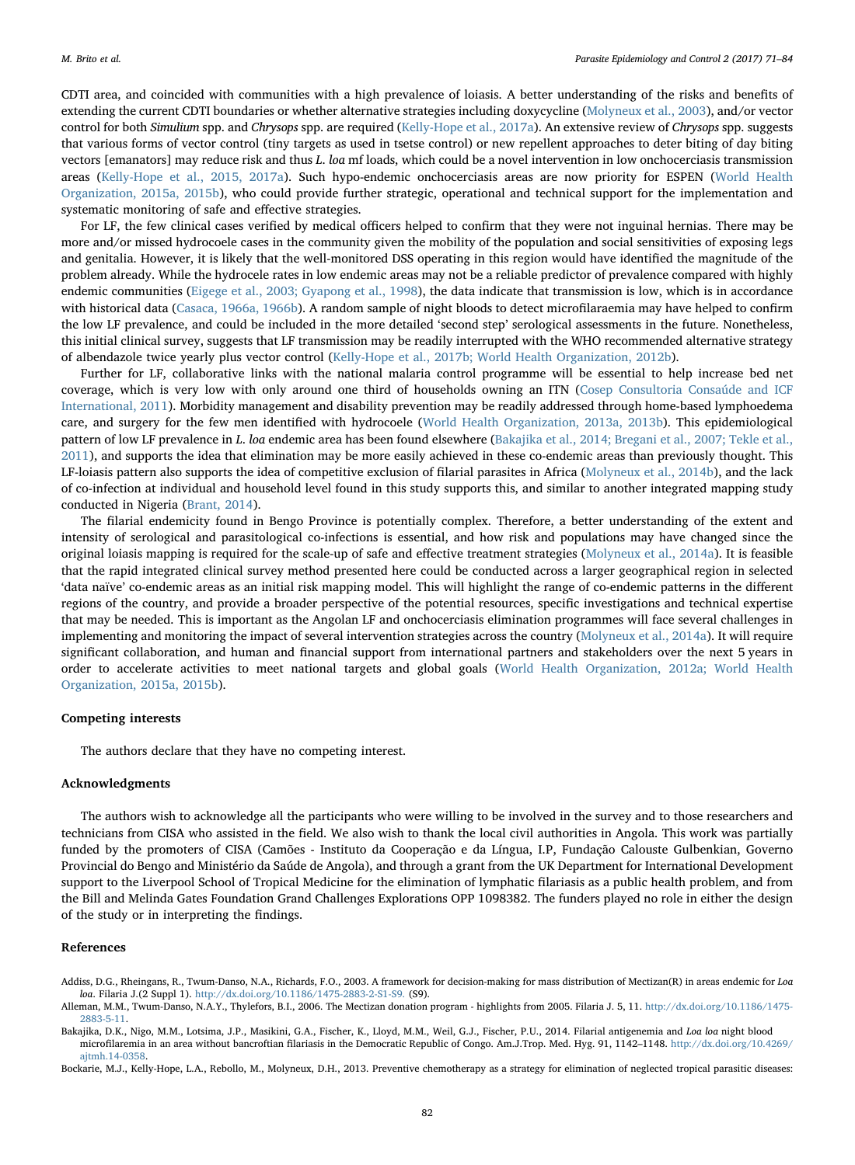CDTI area, and coincided with communities with a high prevalence of loiasis. A better understanding of the risks and benefits of extending the current CDTI boundaries or whether alternative strategies including doxycycline ([Molyneux et al., 2003\)](#page-12-19), and/or vector control for both Simulium spp. and Chrysops spp. are required ([Kelly-Hope et al., 2017a](#page-12-1)). An extensive review of Chrysops spp. suggests that various forms of vector control (tiny targets as used in tsetse control) or new repellent approaches to deter biting of day biting vectors [emanators] may reduce risk and thus L. loa mf loads, which could be a novel intervention in low onchocerciasis transmission areas ([Kelly-Hope et al., 2015, 2017a\)](#page-12-18). Such hypo-endemic onchocerciasis areas are now priority for ESPEN ([World Health](#page-13-0) [Organization, 2015a, 2015b\)](#page-13-0), who could provide further strategic, operational and technical support for the implementation and systematic monitoring of safe and effective strategies.

For LF, the few clinical cases verified by medical officers helped to confirm that they were not inguinal hernias. There may be more and/or missed hydrocoele cases in the community given the mobility of the population and social sensitivities of exposing legs and genitalia. However, it is likely that the well-monitored DSS operating in this region would have identified the magnitude of the problem already. While the hydrocele rates in low endemic areas may not be a reliable predictor of prevalence compared with highly endemic communities ([Eigege et al., 2003; Gyapong et al., 1998](#page-12-20)), the data indicate that transmission is low, which is in accordance with historical data [\(Casaca, 1966a, 1966b\)](#page-12-5). A random sample of night bloods to detect microfilaraemia may have helped to confirm the low LF prevalence, and could be included in the more detailed 'second step' serological assessments in the future. Nonetheless, this initial clinical survey, suggests that LF transmission may be readily interrupted with the WHO recommended alternative strategy of albendazole twice yearly plus vector control [\(Kelly-Hope et al., 2017b; World Health Organization, 2012b\)](#page-12-13).

Further for LF, collaborative links with the national malaria control programme will be essential to help increase bed net coverage, which is very low with only around one third of households owning an ITN [\(Cosep Consultoria Consaúde and ICF](#page-12-21) [International, 2011](#page-12-21)). Morbidity management and disability prevention may be readily addressed through home-based lymphoedema care, and surgery for the few men identified with hydrocoele [\(World Health Organization, 2013a, 2013b](#page-13-9)). This epidemiological pattern of low LF prevalence in L. loa endemic area has been found elsewhere [\(Bakajika et al., 2014; Bregani et al., 2007; Tekle et al.,](#page-11-2) [2011\)](#page-11-2), and supports the idea that elimination may be more easily achieved in these co-endemic areas than previously thought. This LF-loiasis pattern also supports the idea of competitive exclusion of filarial parasites in Africa [\(Molyneux et al., 2014b\)](#page-12-22), and the lack of co-infection at individual and household level found in this study supports this, and similar to another integrated mapping study conducted in Nigeria [\(Brant, 2014](#page-12-23)).

The filarial endemicity found in Bengo Province is potentially complex. Therefore, a better understanding of the extent and intensity of serological and parasitological co-infections is essential, and how risk and populations may have changed since the original loiasis mapping is required for the scale-up of safe and effective treatment strategies [\(Molyneux et al., 2014a\)](#page-12-12). It is feasible that the rapid integrated clinical survey method presented here could be conducted across a larger geographical region in selected 'data naïve' co-endemic areas as an initial risk mapping model. This will highlight the range of co-endemic patterns in the different regions of the country, and provide a broader perspective of the potential resources, specific investigations and technical expertise that may be needed. This is important as the Angolan LF and onchocerciasis elimination programmes will face several challenges in implementing and monitoring the impact of several intervention strategies across the country ([Molyneux et al., 2014a](#page-12-12)). It will require significant collaboration, and human and financial support from international partners and stakeholders over the next 5 years in order to accelerate activities to meet national targets and global goals [\(World Health Organization, 2012a; World Health](#page-13-1) [Organization, 2015a, 2015b\)](#page-13-1).

#### Competing interests

The authors declare that they have no competing interest.

#### Acknowledgments

The authors wish to acknowledge all the participants who were willing to be involved in the survey and to those researchers and technicians from CISA who assisted in the field. We also wish to thank the local civil authorities in Angola. This work was partially funded by the promoters of CISA (Camões - Instituto da Cooperação e da Língua, I.P, Fundação Calouste Gulbenkian, Governo Provincial do Bengo and Ministério da Saúde de Angola), and through a grant from the UK Department for International Development support to the Liverpool School of Tropical Medicine for the elimination of lymphatic filariasis as a public health problem, and from the Bill and Melinda Gates Foundation Grand Challenges Explorations OPP 1098382. The funders played no role in either the design of the study or in interpreting the findings.

#### References

<span id="page-11-0"></span>Bockarie, M.J., Kelly-Hope, L.A., Rebollo, M., Molyneux, D.H., 2013. Preventive chemotherapy as a strategy for elimination of neglected tropical parasitic diseases:

<span id="page-11-1"></span>Addiss, D.G., Rheingans, R., Twum-Danso, N.A., Richards, F.O., 2003. A framework for decision-making for mass distribution of Mectizan(R) in areas endemic for Loa loa. Filaria J.(2 Suppl 1). [http://dx.doi.org/10.1186/1475-2883-2-S1-S9.](http://dx.doi.org/10.1186/1475-2883-2-S1-S9) (S9).

Alleman, M.M., Twum-Danso, N.A.Y., Thylefors, B.I., 2006. The Mectizan donation program - highlights from 2005. Filaria J. 5, 11. [http://dx.doi.org/10.1186/1475-](http://dx.doi.org/10.1186/1475-2883-5-11) [2883-5-11](http://dx.doi.org/10.1186/1475-2883-5-11).

<span id="page-11-2"></span>Bakajika, D.K., Nigo, M.M., Lotsima, J.P., Masikini, G.A., Fischer, K., Lloyd, M.M., Weil, G.J., Fischer, P.U., 2014. Filarial antigenemia and Loa loa night blood microfilaremia in an area without bancroftian filariasis in the Democratic Republic of Congo. Am.J.Trop. Med. Hyg. 91, 1142–1148. [http://dx.doi.org/10.4269/](http://dx.doi.org/10.4269/ajtmh.14-0358) [ajtmh.14-0358.](http://dx.doi.org/10.4269/ajtmh.14-0358)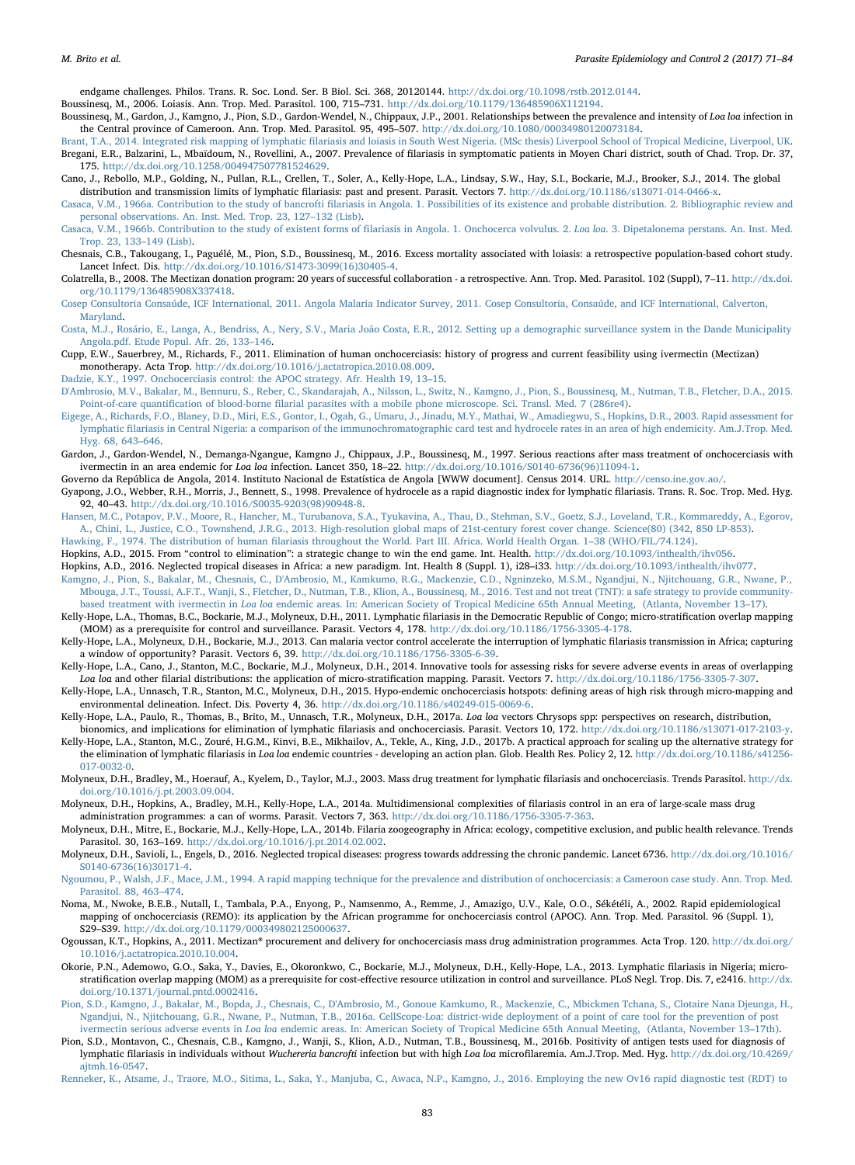endgame challenges. Philos. Trans. R. Soc. Lond. Ser. B Biol. Sci. 368, 20120144. <http://dx.doi.org/10.1098/rstb.2012.0144>.

<span id="page-12-0"></span>Boussinesq, M., 2006. Loiasis. Ann. Trop. Med. Parasitol. 100, 715–731. [http://dx.doi.org/10.1179/136485906X112194.](http://dx.doi.org/10.1179/136485906X112194)

- Boussinesq, M., Gardon, J., Kamgno, J., Pion, S.D., Gardon-Wendel, N., Chippaux, J.P., 2001. Relationships between the prevalence and intensity of Loa loa infection in the Central province of Cameroon. Ann. Trop. Med. Parasitol. 95, 495–507. [http://dx.doi.org/10.1080/00034980120073184.](http://dx.doi.org/10.1080/00034980120073184)
- <span id="page-12-23"></span>Brant, T.A., 2014. Integrated risk mapping of lymphatic fi[lariasis and loiasis in South West Nigeria. \(MSc thesis\) Liverpool School of Tropical Medicine, Liverpool, UK](http://refhub.elsevier.com/S2405-6731(17)30015-6/rf9000). Bregani, E.R., Balzarini, L., Mbaïdoum, N., Rovellini, A., 2007. Prevalence of filariasis in symptomatic patients in Moyen Chari district, south of Chad. Trop. Dr. 37, 175. <http://dx.doi.org/10.1258/004947507781524629>.
- <span id="page-12-6"></span>Cano, J., Rebollo, M.P., Golding, N., Pullan, R.L., Crellen, T., Soler, A., Kelly-Hope, L.A., Lindsay, S.W., Hay, S.I., Bockarie, M.J., Brooker, S.J., 2014. The global distribution and transmission limits of lymphatic filariasis: past and present. Parasit. Vectors 7. [http://dx.doi.org/10.1186/s13071-014-0466-x.](http://dx.doi.org/10.1186/s13071-014-0466-x)

<span id="page-12-5"></span>Casaca, V.M., 1966a. Contribution to the study of bancrofti fi[lariasis in Angola. 1. Possibilities of its existence and probable distribution. 2. Bibliographic review and](http://refhub.elsevier.com/S2405-6731(17)30015-6/rf0045) [personal observations. An. Inst. Med. Trop. 23, 127](http://refhub.elsevier.com/S2405-6731(17)30015-6/rf0045)–132 (Lisb).

- [Casaca, V.M., 1966b. Contribution to the study of existent forms of](http://refhub.elsevier.com/S2405-6731(17)30015-6/rf0050) filariasis in Angola. 1. Onchocerca volvulus. 2. Loa loa. 3. Dipetalonema perstans. An. Inst. Med. [Trop. 23, 133](http://refhub.elsevier.com/S2405-6731(17)30015-6/rf0050)–149 (Lisb).
- <span id="page-12-2"></span>Chesnais, C.B., Takougang, I., Paguélé, M., Pion, S.D., Boussinesq, M., 2016. Excess mortality associated with loiasis: a retrospective population-based cohort study. Lancet Infect. Dis. [http://dx.doi.org/10.1016/S1473-3099\(16\)30405-4.](http://dx.doi.org/10.1016/S1473-3099(16)30405-4)
- Colatrella, B., 2008. The Mectizan donation program: 20 years of successful collaboration a retrospective. Ann. Trop. Med. Parasitol. 102 (Suppl), 7–11. [http://dx.doi.](http://dx.doi.org/10.1179/136485908X337418) [org/10.1179/136485908X337418.](http://dx.doi.org/10.1179/136485908X337418)
- <span id="page-12-21"></span>[Cosep Consultoria Consaúde, ICF International, 2011. Angola Malaria Indicator Survey, 2011. Cosep Consultoria, Consaúde, and ICF International, Calverton,](http://refhub.elsevier.com/S2405-6731(17)30015-6/rf0065) [Maryland.](http://refhub.elsevier.com/S2405-6731(17)30015-6/rf0065)
- <span id="page-12-17"></span>[Costa, M.J., Rosário, E., Langa, A., Bendriss, A., Nery, S.V., Maria João Costa, E.R., 2012. Setting up a demographic surveillance system in the Dande Municipality](http://refhub.elsevier.com/S2405-6731(17)30015-6/rf0070) [Angola.pdf. Etude Popul. Afr. 26, 133](http://refhub.elsevier.com/S2405-6731(17)30015-6/rf0070)–146.
- <span id="page-12-3"></span>Cupp, E.W., Sauerbrey, M., Richards, F., 2011. Elimination of human onchocerciasis: history of progress and current feasibility using ivermectin (Mectizan) monotherapy. Acta Trop. <http://dx.doi.org/10.1016/j.actatropica.2010.08.009>.
- [Dadzie, K.Y., 1997. Onchocerciasis control: the APOC strategy. Afr. Health 19, 13](http://refhub.elsevier.com/S2405-6731(17)30015-6/rf0080)–15.
- <span id="page-12-10"></span>[D'Ambrosio, M.V., Bakalar, M., Bennuru, S., Reber, C., Skandarajah, A., Nilsson, L., Switz, N., Kamgno, J., Pion, S., Boussinesq, M., Nutman, T.B., Fletcher, D.A., 2015.](http://refhub.elsevier.com/S2405-6731(17)30015-6/rf0085) Point-of-care quantification of blood-borne fi[larial parasites with a mobile phone microscope. Sci. Transl. Med. 7 \(286re4\)](http://refhub.elsevier.com/S2405-6731(17)30015-6/rf0085).
- <span id="page-12-20"></span>[Eigege, A., Richards, F.O., Blaney, D.D., Miri, E.S., Gontor, I., Ogah, G., Umaru, J., Jinadu, M.Y., Mathai, W., Amadiegwu, S., Hopkins, D.R., 2003. Rapid assessment for](http://refhub.elsevier.com/S2405-6731(17)30015-6/rf0090) lymphatic fi[lariasis in Central Nigeria: a comparison of the immunochromatographic card test and hydrocele rates in an area of high endemicity. Am.J.Trop. Med.](http://refhub.elsevier.com/S2405-6731(17)30015-6/rf0090) [Hyg. 68, 643](http://refhub.elsevier.com/S2405-6731(17)30015-6/rf0090)–646.
- Gardon, J., Gardon-Wendel, N., Demanga-Ngangue, Kamgno J., Chippaux, J.P., Boussinesq, M., 1997. Serious reactions after mass treatment of onchocerciasis with ivermectin in an area endemic for Loa loa infection. Lancet 350, 18–22. [http://dx.doi.org/10.1016/S0140-6736\(96\)11094-1.](http://dx.doi.org/10.1016/S0140-6736(96)11094-1)
- <span id="page-12-16"></span>Governo da República de Angola, 2014. Instituto Nacional de Estatística de Angola [WWW document]. Census 2014. URL. [http://censo.ine.gov.ao/.](http://censo.ine.gov.ao/)
- Gyapong, J.O., Webber, R.H., Morris, J., Bennett, S., 1998. Prevalence of hydrocele as a rapid diagnostic index for lymphatic filariasis. Trans. R. Soc. Trop. Med. Hyg. 92, 40–43. [http://dx.doi.org/10.1016/S0035-9203\(98\)90948-8.](http://dx.doi.org/10.1016/S0035-9203(98)90948-8)
- [Hansen, M.C., Potapov, P.V., Moore, R., Hancher, M., Turubanova, S.A., Tyukavina, A., Thau, D., Stehman, S.V., Goetz, S.J., Loveland, T.R., Kommareddy, A., Egorov,](http://refhub.elsevier.com/S2405-6731(17)30015-6/rf0110) [A., Chini, L., Justice, C.O., Townshend, J.R.G., 2013. High-resolution global maps of 21st-century forest cover change. Science\(80\) \(342, 850 LP-853\).](http://refhub.elsevier.com/S2405-6731(17)30015-6/rf0110)
- Hawking, F., 1974. The distribution of human fi[lariasis throughout the World. Part III. Africa. World Health Organ. 1](http://refhub.elsevier.com/S2405-6731(17)30015-6/rf0115)–38 (WHO/FIL/74.124).
- <span id="page-12-9"></span>Hopkins, A.D., 2015. From "control to elimination": a strategic change to win the end game. Int. Health. [http://dx.doi.org/10.1093/inthealth/ihv056.](http://dx.doi.org/10.1093/inthealth/ihv056)
- <span id="page-12-4"></span>Hopkins, A.D., 2016. Neglected tropical diseases in Africa: a new paradigm. Int. Health 8 (Suppl. 1), i28–i33. <http://dx.doi.org/10.1093/inthealth/ihv077>.
- [Kamgno, J., Pion, S., Bakalar, M., Chesnais, C., D'Ambrosio, M., Kamkumo, R.G., Mackenzie, C.D., Ngninzeko, M.S.M., Ngandjui, N., Njitchouang, G.R., Nwane, P.,](http://refhub.elsevier.com/S2405-6731(17)30015-6/rf0130) [Mbouga, J.T., Toussi, A.F.T., Wanji, S., Fletcher, D., Nutman, T.B., Klion, A., Boussinesq, M., 2016. Test and not treat \(TNT\): a safe strategy to provide community](http://refhub.elsevier.com/S2405-6731(17)30015-6/rf0130)based treatment with ivermectin in Loa loa [endemic areas. In: American Society of Tropical Medicine 65th Annual Meeting, \(Atlanta, November 13](http://refhub.elsevier.com/S2405-6731(17)30015-6/rf0130)–17).
- <span id="page-12-14"></span>Kelly-Hope, L.A., Thomas, B.C., Bockarie, M.J., Molyneux, D.H., 2011. Lymphatic filariasis in the Democratic Republic of Congo; micro-stratification overlap mapping (MOM) as a prerequisite for control and surveillance. Parasit. Vectors 4, 178. [http://dx.doi.org/10.1186/1756-3305-4-178.](http://dx.doi.org/10.1186/1756-3305-4-178)
- <span id="page-12-11"></span>Kelly-Hope, L.A., Molyneux, D.H., Bockarie, M.J., 2013. Can malaria vector control accelerate the interruption of lymphatic filariasis transmission in Africa; capturing a window of opportunity? Parasit. Vectors 6, 39. [http://dx.doi.org/10.1186/1756-3305-6-39.](http://dx.doi.org/10.1186/1756-3305-6-39)
- Kelly-Hope, L.A., Cano, J., Stanton, M.C., Bockarie, M.J., Molyneux, D.H., 2014. Innovative tools for assessing risks for severe adverse events in areas of overlapping Loa loa and other filarial distributions: the application of micro-stratification mapping. Parasit. Vectors 7. [http://dx.doi.org/10.1186/1756-3305-7-307.](http://dx.doi.org/10.1186/1756-3305-7-307)
- <span id="page-12-18"></span>Kelly-Hope, L.A., Unnasch, T.R., Stanton, M.C., Molyneux, D.H., 2015. Hypo-endemic onchocerciasis hotspots: defining areas of high risk through micro-mapping and environmental delineation. Infect. Dis. Poverty 4, 36. <http://dx.doi.org/10.1186/s40249-015-0069-6>.
- <span id="page-12-1"></span>Kelly-Hope, L.A., Paulo, R., Thomas, B., Brito, M., Unnasch, T.R., Molyneux, D.H., 2017a. Loa loa vectors Chrysops spp: perspectives on research, distribution,
- <span id="page-12-13"></span>bionomics, and implications for elimination of lymphatic filariasis and onchocerciasis. Parasit. Vectors 10, 172. <http://dx.doi.org/10.1186/s13071-017-2103-y>. Kelly-Hope, L.A., Stanton, M.C., Zouré, H.G.M., Kinvi, B.E., Mikhailov, A., Tekle, A., King, J.D., 2017b. A practical approach for scaling up the alternative strategy for
- the elimination of lymphatic filariasis in Loa loa endemic countries developing an action plan. Glob. Health Res. Policy 2, 12. [http://dx.doi.org/10.1186/s41256-](http://dx.doi.org/10.1186/s41256-017-0032-0) [017-0032-0.](http://dx.doi.org/10.1186/s41256-017-0032-0)
- <span id="page-12-19"></span>Molyneux, D.H., Bradley, M., Hoerauf, A., Kyelem, D., Taylor, M.J., 2003. Mass drug treatment for lymphatic filariasis and onchocerciasis. Trends Parasitol. [http://dx.](http://dx.doi.org/10.1016/j.pt.2003.09.004) [doi.org/10.1016/j.pt.2003.09.004.](http://dx.doi.org/10.1016/j.pt.2003.09.004)
- <span id="page-12-12"></span>Molyneux, D.H., Hopkins, A., Bradley, M.H., Kelly-Hope, L.A., 2014a. Multidimensional complexities of filariasis control in an era of large-scale mass drug administration programmes: a can of worms. Parasit. Vectors 7, 363. [http://dx.doi.org/10.1186/1756-3305-7-363.](http://dx.doi.org/10.1186/1756-3305-7-363)
- <span id="page-12-22"></span>Molyneux, D.H., Mitre, E., Bockarie, M.J., Kelly-Hope, L.A., 2014b. Filaria zoogeography in Africa: ecology, competitive exclusion, and public health relevance. Trends Parasitol. 30, 163–169. <http://dx.doi.org/10.1016/j.pt.2014.02.002>.
- Molyneux, D.H., Savioli, L., Engels, D., 2016. Neglected tropical diseases: progress towards addressing the chronic pandemic. Lancet 6736. [http://dx.doi.org/10.1016/](http://dx.doi.org/10.1016/S0140-6736(16)30171-4) [S0140-6736\(16\)30171-4.](http://dx.doi.org/10.1016/S0140-6736(16)30171-4)
- <span id="page-12-8"></span>[Ngoumou, P., Walsh, J.F., Mace, J.M., 1994. A rapid mapping technique for the prevalence and distribution of onchocerciasis: a Cameroon case study. Ann. Trop. Med.](http://refhub.elsevier.com/S2405-6731(17)30015-6/rf0185) [Parasitol. 88, 463](http://refhub.elsevier.com/S2405-6731(17)30015-6/rf0185)–474.
- <span id="page-12-7"></span>Noma, M., Nwoke, B.E.B., Nutall, I., Tambala, P.A., Enyong, P., Namsenmo, A., Remme, J., Amazigo, U.V., Kale, O.O., Sékétéli, A., 2002. Rapid epidemiological mapping of onchocerciasis (REMO): its application by the African programme for onchocerciasis control (APOC). Ann. Trop. Med. Parasitol. 96 (Suppl. 1), S29–S39. [http://dx.doi.org/10.1179/000349802125000637.](http://dx.doi.org/10.1179/000349802125000637)
- Ogoussan, K.T., Hopkins, A., 2011. Mectizan® procurement and delivery for onchocerciasis mass drug administration programmes. Acta Trop. 120. [http://dx.doi.org/](http://dx.doi.org/10.1016/j.actatropica.2010.10.004) [10.1016/j.actatropica.2010.10.004](http://dx.doi.org/10.1016/j.actatropica.2010.10.004).
- Okorie, P.N., Ademowo, G.O., Saka, Y., Davies, E., Okoronkwo, C., Bockarie, M.J., Molyneux, D.H., Kelly-Hope, L.A., 2013. Lymphatic filariasis in Nigeria; microstratification overlap mapping (MOM) as a prerequisite for cost-effective resource utilization in control and surveillance. PLoS Negl. Trop. Dis. 7, e2416. [http://dx.](http://dx.doi.org/10.1371/journal.pntd.0002416) [doi.org/10.1371/journal.pntd.0002416](http://dx.doi.org/10.1371/journal.pntd.0002416).
- [Pion, S.D., Kamgno, J., Bakalar, M., Bopda, J., Chesnais, C., D'Ambrosio, M., Gonoue Kamkumo, R., Mackenzie, C., Mbickmen Tchana, S., Clotaire Nana Djeunga, H.,](http://refhub.elsevier.com/S2405-6731(17)30015-6/rf0205) [Ngandjui, N., Njitchouang, G.R., Nwane, P., Nutman, T.B., 2016a. CellScope-Loa: district-wide deployment of a point of care tool for the prevention of post](http://refhub.elsevier.com/S2405-6731(17)30015-6/rf0205) ivermectin serious adverse events in Loa loa [endemic areas. In: American Society of Tropical Medicine 65th Annual Meeting, \(Atlanta, November 13](http://refhub.elsevier.com/S2405-6731(17)30015-6/rf0205)–17th).
- Pion, S.D., Montavon, C., Chesnais, C.B., Kamgno, J., Wanji, S., Klion, A.D., Nutman, T.B., Boussinesq, M., 2016b. Positivity of antigen tests used for diagnosis of lymphatic filariasis in individuals without Wuchereria bancrofti infection but with high Loa loa microfilaremia. Am.J.Trop. Med. Hyg. [http://dx.doi.org/10.4269/](http://dx.doi.org/10.4269/ajtmh.16-0547) [ajtmh.16-0547.](http://dx.doi.org/10.4269/ajtmh.16-0547)
- <span id="page-12-15"></span>[Renneker, K., Atsame, J., Traore, M.O., Sitima, L., Saka, Y., Manjuba, C., Awaca, N.P., Kamgno, J., 2016. Employing the new Ov16 rapid diagnostic test \(RDT\) to](http://refhub.elsevier.com/S2405-6731(17)30015-6/rf0215)